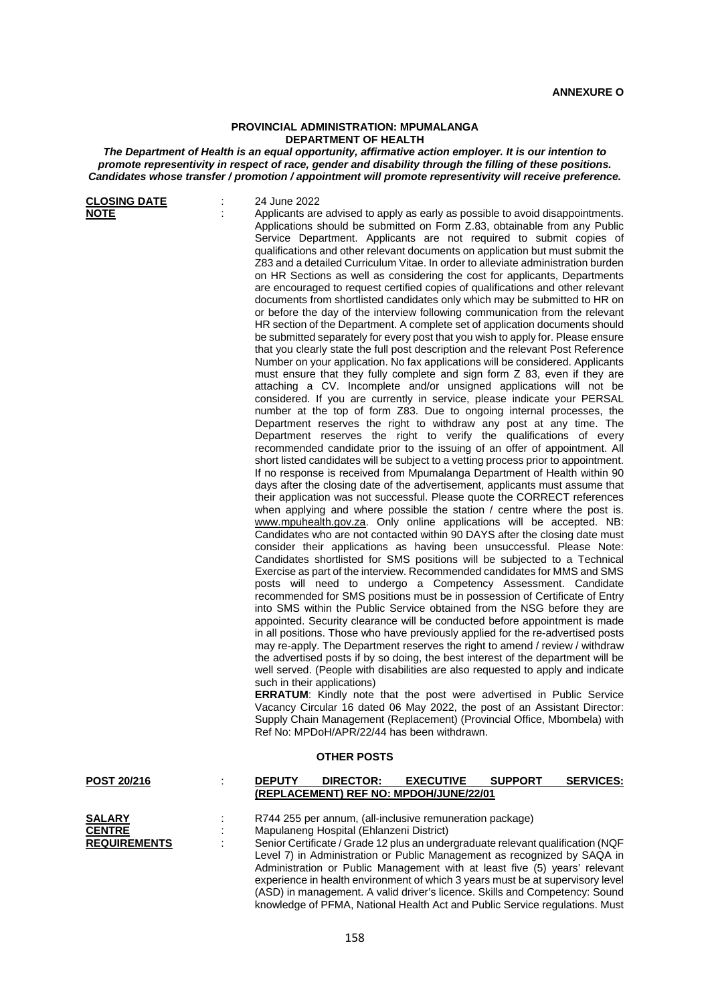## **PROVINCIAL ADMINISTRATION: MPUMALANGA DEPARTMENT OF HEALTH**

*The Department of Health is an equal opportunity, affirmative action employer. It is our intention to promote representivity in respect of race, gender and disability through the filling of these positions. Candidates whose transfer / promotion / appointment will promote representivity will receive preference.*

**CLOSING DATE** : 24 June 2022<br> **NOTE** : Applicants are Applicants are advised to apply as early as possible to avoid disappointments. Applications should be submitted on Form Z.83, obtainable from any Public Service Department. Applicants are not required to submit copies of qualifications and other relevant documents on application but must submit the Z83 and a detailed Curriculum Vitae. In order to alleviate administration burden on HR Sections as well as considering the cost for applicants, Departments are encouraged to request certified copies of qualifications and other relevant documents from shortlisted candidates only which may be submitted to HR on or before the day of the interview following communication from the relevant HR section of the Department. A complete set of application documents should be submitted separately for every post that you wish to apply for. Please ensure that you clearly state the full post description and the relevant Post Reference Number on your application. No fax applications will be considered. Applicants must ensure that they fully complete and sign form Z 83, even if they are attaching a CV. Incomplete and/or unsigned applications will not be considered. If you are currently in service, please indicate your PERSAL number at the top of form Z83. Due to ongoing internal processes, the Department reserves the right to withdraw any post at any time. The Department reserves the right to verify the qualifications of every recommended candidate prior to the issuing of an offer of appointment. All short listed candidates will be subject to a vetting process prior to appointment. If no response is received from Mpumalanga Department of Health within 90 days after the closing date of the advertisement, applicants must assume that their application was not successful. Please quote the CORRECT references when applying and where possible the station / centre where the post is. [www.mpuhealth.gov.za.](http://www.mpuhealth.gov.za/) Only online applications will be accepted. NB: Candidates who are not contacted within 90 DAYS after the closing date must consider their applications as having been unsuccessful. Please Note: Candidates shortlisted for SMS positions will be subjected to a Technical Exercise as part of the interview. Recommended candidates for MMS and SMS posts will need to undergo a Competency Assessment. Candidate recommended for SMS positions must be in possession of Certificate of Entry into SMS within the Public Service obtained from the NSG before they are appointed. Security clearance will be conducted before appointment is made in all positions. Those who have previously applied for the re-advertised posts may re-apply. The Department reserves the right to amend / review / withdraw the advertised posts if by so doing, the best interest of the department will be well served. (People with disabilities are also requested to apply and indicate such in their applications) **ERRATUM**: Kindly note that the post were advertised in Public Service Vacancy Circular 16 dated 06 May 2022, the post of an Assistant Director: Supply Chain Management (Replacement) (Provincial Office, Mbombela) with Ref No: MPDoH/APR/22/44 has been withdrawn. **OTHER POSTS POST 20/216** : **DEPUTY DIRECTOR: EXECUTIVE SUPPORT SERVICES: (REPLACEMENT) REF NO: MPDOH/JUNE/22/01 SALARY** : R744 255 per annum, (all-inclusive remuneration package)<br> **CENTRE** : Mapulaneng Hospital (Fhlanzeni District) **CENTRE** : Mapulaneng Hospital (Ehlanzeni District)<br> **REQUIREMENTS** : Senior Certificate / Grade 12 plus an unde Senior Certificate / Grade 12 plus an undergraduate relevant qualification (NQF Level 7) in Administration or Public Management as recognized by SAQA in Administration or Public Management with at least five (5) years' relevant experience in health environment of which 3 years must be at supervisory level

(ASD) in management. A valid driver's licence. Skills and Competency: Sound knowledge of PFMA, National Health Act and Public Service regulations. Must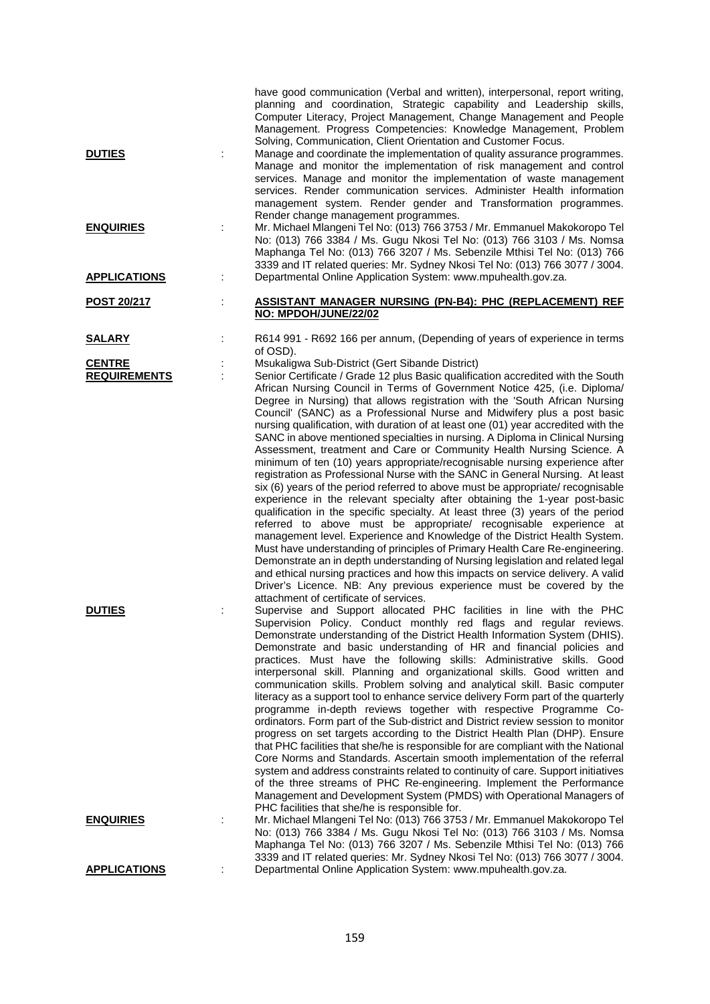| <b>DUTIES</b>                        |    | have good communication (Verbal and written), interpersonal, report writing,<br>planning and coordination, Strategic capability and Leadership skills,<br>Computer Literacy, Project Management, Change Management and People<br>Management. Progress Competencies: Knowledge Management, Problem<br>Solving, Communication, Client Orientation and Customer Focus.<br>Manage and coordinate the implementation of quality assurance programmes.<br>Manage and monitor the implementation of risk management and control<br>services. Manage and monitor the implementation of waste management<br>services. Render communication services. Administer Health information<br>management system. Render gender and Transformation programmes.                                                                                                                                                                                                                                                                                                                                                                                                                                                                                                                                                                                                                                                                                                                                                                                                                            |
|--------------------------------------|----|-------------------------------------------------------------------------------------------------------------------------------------------------------------------------------------------------------------------------------------------------------------------------------------------------------------------------------------------------------------------------------------------------------------------------------------------------------------------------------------------------------------------------------------------------------------------------------------------------------------------------------------------------------------------------------------------------------------------------------------------------------------------------------------------------------------------------------------------------------------------------------------------------------------------------------------------------------------------------------------------------------------------------------------------------------------------------------------------------------------------------------------------------------------------------------------------------------------------------------------------------------------------------------------------------------------------------------------------------------------------------------------------------------------------------------------------------------------------------------------------------------------------------------------------------------------------------|
| <b>ENQUIRIES</b>                     | İ. | Render change management programmes.<br>Mr. Michael Mlangeni Tel No: (013) 766 3753 / Mr. Emmanuel Makokoropo Tel<br>No: (013) 766 3384 / Ms. Gugu Nkosi Tel No: (013) 766 3103 / Ms. Nomsa<br>Maphanga Tel No: (013) 766 3207 / Ms. Sebenzile Mthisi Tel No: (013) 766<br>3339 and IT related queries: Mr. Sydney Nkosi Tel No: (013) 766 3077 / 3004.                                                                                                                                                                                                                                                                                                                                                                                                                                                                                                                                                                                                                                                                                                                                                                                                                                                                                                                                                                                                                                                                                                                                                                                                                 |
| <b>APPLICATIONS</b>                  |    | Departmental Online Application System: www.mpuhealth.gov.za.                                                                                                                                                                                                                                                                                                                                                                                                                                                                                                                                                                                                                                                                                                                                                                                                                                                                                                                                                                                                                                                                                                                                                                                                                                                                                                                                                                                                                                                                                                           |
| POST 20/217                          |    | <b>ASSISTANT MANAGER NURSING (PN-B4): PHC (REPLACEMENT) REF</b><br>NO: MPDOH/JUNE/22/02                                                                                                                                                                                                                                                                                                                                                                                                                                                                                                                                                                                                                                                                                                                                                                                                                                                                                                                                                                                                                                                                                                                                                                                                                                                                                                                                                                                                                                                                                 |
| <u>SALARY</u>                        |    | R614 991 - R692 166 per annum, (Depending of years of experience in terms<br>of OSD).                                                                                                                                                                                                                                                                                                                                                                                                                                                                                                                                                                                                                                                                                                                                                                                                                                                                                                                                                                                                                                                                                                                                                                                                                                                                                                                                                                                                                                                                                   |
| <b>CENTRE</b><br><b>REQUIREMENTS</b> |    | Msukaligwa Sub-District (Gert Sibande District)<br>Senior Certificate / Grade 12 plus Basic qualification accredited with the South<br>African Nursing Council in Terms of Government Notice 425, (i.e. Diploma/<br>Degree in Nursing) that allows registration with the 'South African Nursing<br>Council' (SANC) as a Professional Nurse and Midwifery plus a post basic<br>nursing qualification, with duration of at least one (01) year accredited with the<br>SANC in above mentioned specialties in nursing. A Diploma in Clinical Nursing<br>Assessment, treatment and Care or Community Health Nursing Science. A<br>minimum of ten (10) years appropriate/recognisable nursing experience after<br>registration as Professional Nurse with the SANC in General Nursing. At least<br>six (6) years of the period referred to above must be appropriate/ recognisable<br>experience in the relevant specialty after obtaining the 1-year post-basic<br>qualification in the specific specialty. At least three (3) years of the period<br>referred to above must be appropriate/ recognisable experience at<br>management level. Experience and Knowledge of the District Health System.<br>Must have understanding of principles of Primary Health Care Re-engineering.<br>Demonstrate an in depth understanding of Nursing legislation and related legal<br>and ethical nursing practices and how this impacts on service delivery. A valid<br>Driver's Licence. NB: Any previous experience must be covered by the<br>attachment of certificate of services. |
| <b>DUTIES</b>                        |    | Supervise and Support allocated PHC facilities in line with the PHC<br>Supervision Policy. Conduct monthly red flags and regular reviews.<br>Demonstrate understanding of the District Health Information System (DHIS).<br>Demonstrate and basic understanding of HR and financial policies and<br>practices. Must have the following skills: Administrative skills. Good<br>interpersonal skill. Planning and organizational skills. Good written and<br>communication skills. Problem solving and analytical skill. Basic computer<br>literacy as a support tool to enhance service delivery Form part of the quarterly<br>programme in-depth reviews together with respective Programme Co-<br>ordinators. Form part of the Sub-district and District review session to monitor<br>progress on set targets according to the District Health Plan (DHP). Ensure<br>that PHC facilities that she/he is responsible for are compliant with the National<br>Core Norms and Standards. Ascertain smooth implementation of the referral<br>system and address constraints related to continuity of care. Support initiatives<br>of the three streams of PHC Re-engineering. Implement the Performance<br>Management and Development System (PMDS) with Operational Managers of<br>PHC facilities that she/he is responsible for.                                                                                                                                                                                                                                          |
| <b>ENQUIRIES</b>                     |    | Mr. Michael Mlangeni Tel No: (013) 766 3753 / Mr. Emmanuel Makokoropo Tel<br>No: (013) 766 3384 / Ms. Gugu Nkosi Tel No: (013) 766 3103 / Ms. Nomsa<br>Maphanga Tel No: (013) 766 3207 / Ms. Sebenzile Mthisi Tel No: (013) 766<br>3339 and IT related queries: Mr. Sydney Nkosi Tel No: (013) 766 3077 / 3004.                                                                                                                                                                                                                                                                                                                                                                                                                                                                                                                                                                                                                                                                                                                                                                                                                                                                                                                                                                                                                                                                                                                                                                                                                                                         |
| <b>APPLICATIONS</b>                  |    | Departmental Online Application System: www.mpuhealth.gov.za.                                                                                                                                                                                                                                                                                                                                                                                                                                                                                                                                                                                                                                                                                                                                                                                                                                                                                                                                                                                                                                                                                                                                                                                                                                                                                                                                                                                                                                                                                                           |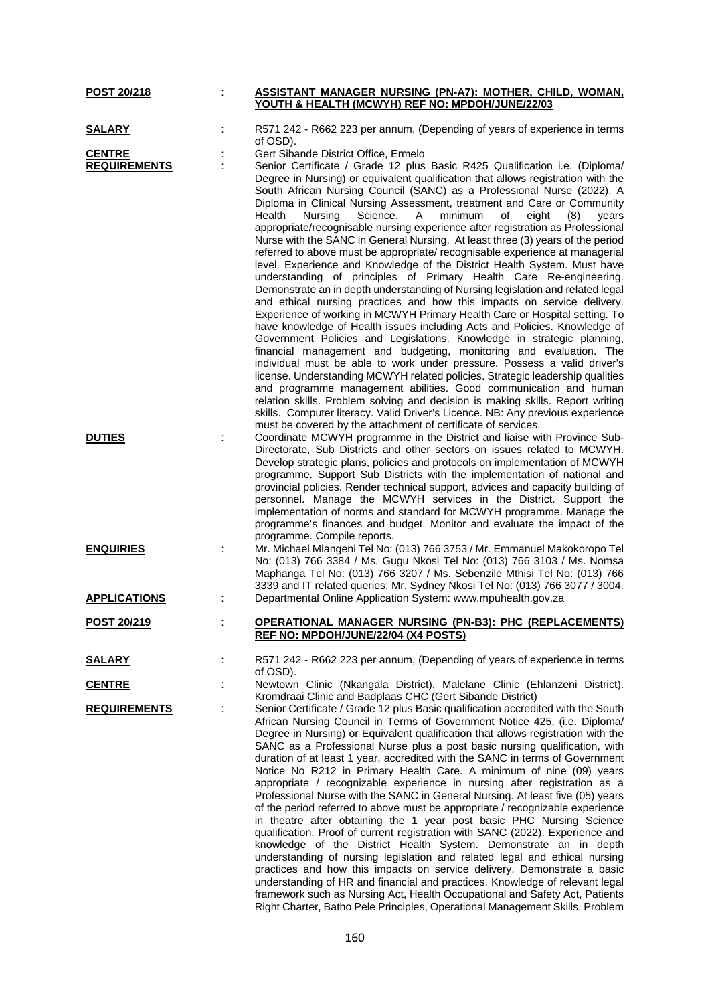| POST 20/218         | ASSISTANT MANAGER NURSING (PN-A7): MOTHER, CHILD, WOMAN,<br>YOUTH & HEALTH (MCWYH) REF NO: MPDOH/JUNE/22/03 |
|---------------------|-------------------------------------------------------------------------------------------------------------|
| <b>SALARY</b>       | R571 242 - R662 223 per annum, (Depending of years of experience in terms<br>of OSD).                       |
|                     |                                                                                                             |
| <b>CENTRE</b>       | Gert Sibande District Office, Ermelo                                                                        |
| <b>REQUIREMENTS</b> | Senior Certificate / Grade 12 plus Basic R425 Qualification i.e. (Diploma/                                  |
|                     | Degree in Nursing) or equivalent qualification that allows registration with the                            |
|                     | South African Nursing Council (SANC) as a Professional Nurse (2022). A                                      |
|                     |                                                                                                             |
|                     | Diploma in Clinical Nursing Assessment, treatment and Care or Community                                     |
|                     | Health<br>Nursing<br>Science.<br>minimum<br>A<br>οf<br>eight<br>(8)<br>vears                                |
|                     | appropriate/recognisable nursing experience after registration as Professional                              |
|                     | Nurse with the SANC in General Nursing. At least three (3) years of the period                              |
|                     | referred to above must be appropriate/ recognisable experience at managerial                                |
|                     |                                                                                                             |
|                     | level. Experience and Knowledge of the District Health System. Must have                                    |
|                     | understanding of principles of Primary Health Care Re-engineering.                                          |
|                     | Demonstrate an in depth understanding of Nursing legislation and related legal                              |
|                     | and ethical nursing practices and how this impacts on service delivery.                                     |
|                     | Experience of working in MCWYH Primary Health Care or Hospital setting. To                                  |
|                     |                                                                                                             |
|                     | have knowledge of Health issues including Acts and Policies. Knowledge of                                   |
|                     | Government Policies and Legislations. Knowledge in strategic planning,                                      |
|                     | financial management and budgeting, monitoring and evaluation. The                                          |
|                     |                                                                                                             |
|                     | individual must be able to work under pressure. Possess a valid driver's                                    |
|                     | license. Understanding MCWYH related policies. Strategic leadership qualities                               |
|                     | and programme management abilities. Good communication and human                                            |
|                     | relation skills. Problem solving and decision is making skills. Report writing                              |
|                     | skills. Computer literacy. Valid Driver's Licence. NB: Any previous experience                              |
|                     |                                                                                                             |
|                     | must be covered by the attachment of certificate of services.                                               |
| <b>DUTIES</b>       | Coordinate MCWYH programme in the District and liaise with Province Sub-                                    |
|                     | Directorate, Sub Districts and other sectors on issues related to MCWYH.                                    |
|                     | Develop strategic plans, policies and protocols on implementation of MCWYH                                  |
|                     |                                                                                                             |
|                     | programme. Support Sub Districts with the implementation of national and                                    |
|                     | provincial policies. Render technical support, advices and capacity building of                             |
|                     | personnel. Manage the MCWYH services in the District. Support the                                           |
|                     | implementation of norms and standard for MCWYH programme. Manage the                                        |
|                     |                                                                                                             |
|                     | programme's finances and budget. Monitor and evaluate the impact of the                                     |
|                     | programme. Compile reports.                                                                                 |
| <b>ENQUIRIES</b>    | Mr. Michael Mlangeni Tel No: (013) 766 3753 / Mr. Emmanuel Makokoropo Tel                                   |
|                     | No: (013) 766 3384 / Ms. Gugu Nkosi Tel No: (013) 766 3103 / Ms. Nomsa                                      |
|                     |                                                                                                             |
|                     | Maphanga Tel No: (013) 766 3207 / Ms. Sebenzile Mthisi Tel No: (013) 766                                    |
|                     | 3339 and IT related queries: Mr. Sydney Nkosi Tel No: (013) 766 3077 / 3004.                                |
| <b>APPLICATIONS</b> | Departmental Online Application System: www.mpuhealth.gov.za                                                |
|                     |                                                                                                             |
| <u>POST 20/219</u>  | <u> OPERATIONAL MANAGER NURSING (PN-B3): PHC (REPLACEMENTS)</u>                                             |
|                     |                                                                                                             |
|                     | REF NO: MPDOH/JUNE/22/04 (X4 POSTS)                                                                         |
|                     |                                                                                                             |
| <u>SALARY</u>       | R571 242 - R662 223 per annum, (Depending of years of experience in terms                                   |
|                     | of OSD).                                                                                                    |
| <b>CENTRE</b>       | Newtown Clinic (Nkangala District), Malelane Clinic (Ehlanzeni District).                                   |
|                     | Kromdraai Clinic and Badplaas CHC (Gert Sibande District)                                                   |
|                     |                                                                                                             |
| <b>REQUIREMENTS</b> | Senior Certificate / Grade 12 plus Basic qualification accredited with the South                            |
|                     | African Nursing Council in Terms of Government Notice 425, (i.e. Diploma/                                   |
|                     | Degree in Nursing) or Equivalent qualification that allows registration with the                            |
|                     | SANC as a Professional Nurse plus a post basic nursing qualification, with                                  |
|                     |                                                                                                             |
|                     | duration of at least 1 year, accredited with the SANC in terms of Government                                |
|                     | Notice No R212 in Primary Health Care. A minimum of nine (09) years                                         |
|                     | appropriate / recognizable experience in nursing after registration as a                                    |
|                     | Professional Nurse with the SANC in General Nursing. At least five (05) years                               |
|                     |                                                                                                             |
|                     | of the period referred to above must be appropriate / recognizable experience                               |
|                     | in theatre after obtaining the 1 year post basic PHC Nursing Science                                        |
|                     | qualification. Proof of current registration with SANC (2022). Experience and                               |
|                     | knowledge of the District Health System. Demonstrate an in depth                                            |
|                     |                                                                                                             |
|                     | understanding of nursing legislation and related legal and ethical nursing                                  |
|                     | practices and how this impacts on service delivery. Demonstrate a basic                                     |
|                     | understanding of HR and financial and practices. Knowledge of relevant legal                                |
|                     | framework such as Nursing Act, Health Occupational and Safety Act, Patients                                 |
|                     |                                                                                                             |
|                     | Right Charter, Batho Pele Principles, Operational Management Skills. Problem                                |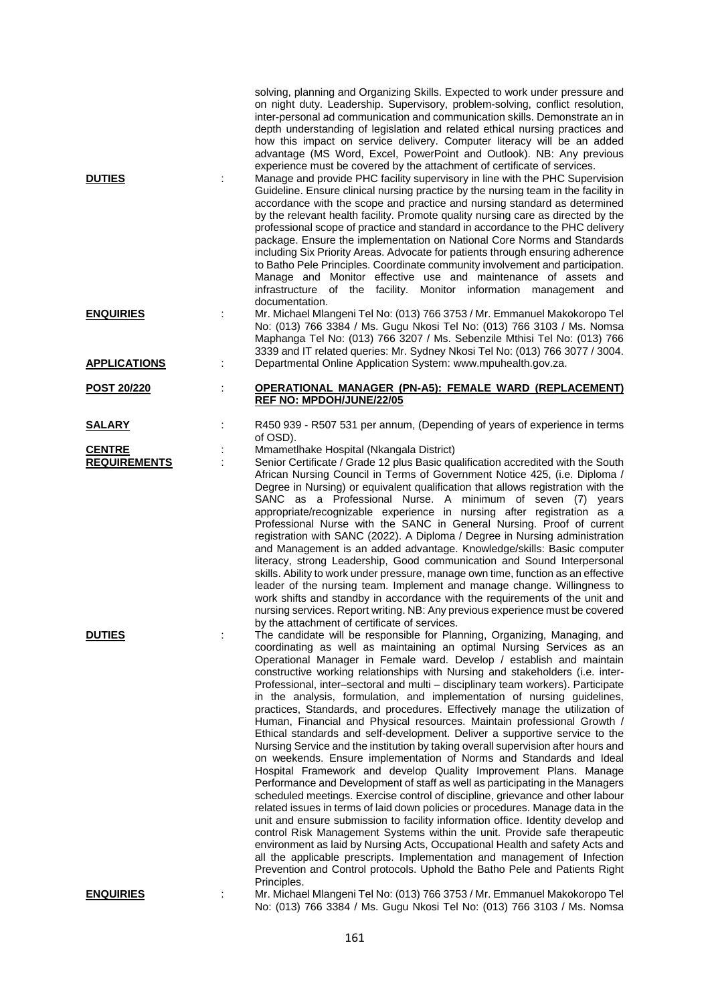|                                         |   | solving, planning and Organizing Skills. Expected to work under pressure and<br>on night duty. Leadership. Supervisory, problem-solving, conflict resolution,<br>inter-personal ad communication and communication skills. Demonstrate an in<br>depth understanding of legislation and related ethical nursing practices and<br>how this impact on service delivery. Computer literacy will be an added<br>advantage (MS Word, Excel, PowerPoint and Outlook). NB: Any previous<br>experience must be covered by the attachment of certificate of services.                                                                                                                                                                                                                                                                                                                                                                                                                                                                                                                                                                                                                                                                                                                                                                                                                                                                                                                                                                                                                                                          |
|-----------------------------------------|---|----------------------------------------------------------------------------------------------------------------------------------------------------------------------------------------------------------------------------------------------------------------------------------------------------------------------------------------------------------------------------------------------------------------------------------------------------------------------------------------------------------------------------------------------------------------------------------------------------------------------------------------------------------------------------------------------------------------------------------------------------------------------------------------------------------------------------------------------------------------------------------------------------------------------------------------------------------------------------------------------------------------------------------------------------------------------------------------------------------------------------------------------------------------------------------------------------------------------------------------------------------------------------------------------------------------------------------------------------------------------------------------------------------------------------------------------------------------------------------------------------------------------------------------------------------------------------------------------------------------------|
| <b>DUTIES</b>                           |   | Manage and provide PHC facility supervisory in line with the PHC Supervision<br>Guideline. Ensure clinical nursing practice by the nursing team in the facility in<br>accordance with the scope and practice and nursing standard as determined<br>by the relevant health facility. Promote quality nursing care as directed by the<br>professional scope of practice and standard in accordance to the PHC delivery<br>package. Ensure the implementation on National Core Norms and Standards<br>including Six Priority Areas. Advocate for patients through ensuring adherence<br>to Batho Pele Principles. Coordinate community involvement and participation.<br>Manage and Monitor effective use and maintenance of assets and<br>infrastructure of the facility.<br>Monitor information management<br>and<br>documentation.                                                                                                                                                                                                                                                                                                                                                                                                                                                                                                                                                                                                                                                                                                                                                                                   |
| <b>ENQUIRIES</b><br><b>APPLICATIONS</b> | t | Mr. Michael Mlangeni Tel No: (013) 766 3753 / Mr. Emmanuel Makokoropo Tel<br>No: (013) 766 3384 / Ms. Gugu Nkosi Tel No: (013) 766 3103 / Ms. Nomsa<br>Maphanga Tel No: (013) 766 3207 / Ms. Sebenzile Mthisi Tel No: (013) 766<br>3339 and IT related queries: Mr. Sydney Nkosi Tel No: (013) 766 3077 / 3004.<br>Departmental Online Application System: www.mpuhealth.gov.za.                                                                                                                                                                                                                                                                                                                                                                                                                                                                                                                                                                                                                                                                                                                                                                                                                                                                                                                                                                                                                                                                                                                                                                                                                                     |
|                                         |   |                                                                                                                                                                                                                                                                                                                                                                                                                                                                                                                                                                                                                                                                                                                                                                                                                                                                                                                                                                                                                                                                                                                                                                                                                                                                                                                                                                                                                                                                                                                                                                                                                      |
| POST 20/220                             | t | <b>OPERATIONAL MANAGER (PN-A5): FEMALE WARD (REPLACEMENT)</b><br>REF NO: MPDOH/JUNE/22/05                                                                                                                                                                                                                                                                                                                                                                                                                                                                                                                                                                                                                                                                                                                                                                                                                                                                                                                                                                                                                                                                                                                                                                                                                                                                                                                                                                                                                                                                                                                            |
| <b>SALARY</b>                           | t | R450 939 - R507 531 per annum, (Depending of years of experience in terms<br>of OSD).                                                                                                                                                                                                                                                                                                                                                                                                                                                                                                                                                                                                                                                                                                                                                                                                                                                                                                                                                                                                                                                                                                                                                                                                                                                                                                                                                                                                                                                                                                                                |
| <b>CENTRE</b><br><b>REQUIREMENTS</b>    |   | Mmametlhake Hospital (Nkangala District)<br>Senior Certificate / Grade 12 plus Basic qualification accredited with the South<br>African Nursing Council in Terms of Government Notice 425, (i.e. Diploma /<br>Degree in Nursing) or equivalent qualification that allows registration with the<br>SANC as a Professional Nurse. A minimum of seven (7) years<br>appropriate/recognizable experience in nursing after registration as a<br>Professional Nurse with the SANC in General Nursing. Proof of current                                                                                                                                                                                                                                                                                                                                                                                                                                                                                                                                                                                                                                                                                                                                                                                                                                                                                                                                                                                                                                                                                                      |
|                                         |   | registration with SANC (2022). A Diploma / Degree in Nursing administration<br>and Management is an added advantage. Knowledge/skills: Basic computer<br>literacy, strong Leadership, Good communication and Sound Interpersonal<br>skills. Ability to work under pressure, manage own time, function as an effective<br>leader of the nursing team. Implement and manage change. Willingness to<br>work shifts and standby in accordance with the requirements of the unit and<br>nursing services. Report writing. NB: Any previous experience must be covered<br>by the attachment of certificate of services.                                                                                                                                                                                                                                                                                                                                                                                                                                                                                                                                                                                                                                                                                                                                                                                                                                                                                                                                                                                                    |
| <b>DUTIES</b>                           | ÷ | The candidate will be responsible for Planning, Organizing, Managing, and<br>coordinating as well as maintaining an optimal Nursing Services as an<br>Operational Manager in Female ward. Develop / establish and maintain<br>constructive working relationships with Nursing and stakeholders (i.e. inter-<br>Professional, inter-sectoral and multi - disciplinary team workers). Participate<br>in the analysis, formulation, and implementation of nursing guidelines,<br>practices, Standards, and procedures. Effectively manage the utilization of<br>Human, Financial and Physical resources. Maintain professional Growth /<br>Ethical standards and self-development. Deliver a supportive service to the<br>Nursing Service and the institution by taking overall supervision after hours and<br>on weekends. Ensure implementation of Norms and Standards and Ideal<br>Hospital Framework and develop Quality Improvement Plans. Manage<br>Performance and Development of staff as well as participating in the Managers<br>scheduled meetings. Exercise control of discipline, grievance and other labour<br>related issues in terms of laid down policies or procedures. Manage data in the<br>unit and ensure submission to facility information office. Identity develop and<br>control Risk Management Systems within the unit. Provide safe therapeutic<br>environment as laid by Nursing Acts, Occupational Health and safety Acts and<br>all the applicable prescripts. Implementation and management of Infection<br>Prevention and Control protocols. Uphold the Batho Pele and Patients Right |
| <b>FNOURIES</b>                         |   | Principles.<br>Mr. Michael Mlangeni Tel No: (013) 766 3753 / Mr. Emmanuel Makokoropo Tel                                                                                                                                                                                                                                                                                                                                                                                                                                                                                                                                                                                                                                                                                                                                                                                                                                                                                                                                                                                                                                                                                                                                                                                                                                                                                                                                                                                                                                                                                                                             |

**ENQUIRIES** : Mr. Michael Mlangeni Tel No: (013) 766 3753 / Mr. Emmanuel Makokoropo Tel No: (013) 766 3384 / Ms. Gugu Nkosi Tel No: (013) 766 3103 / Ms. Nomsa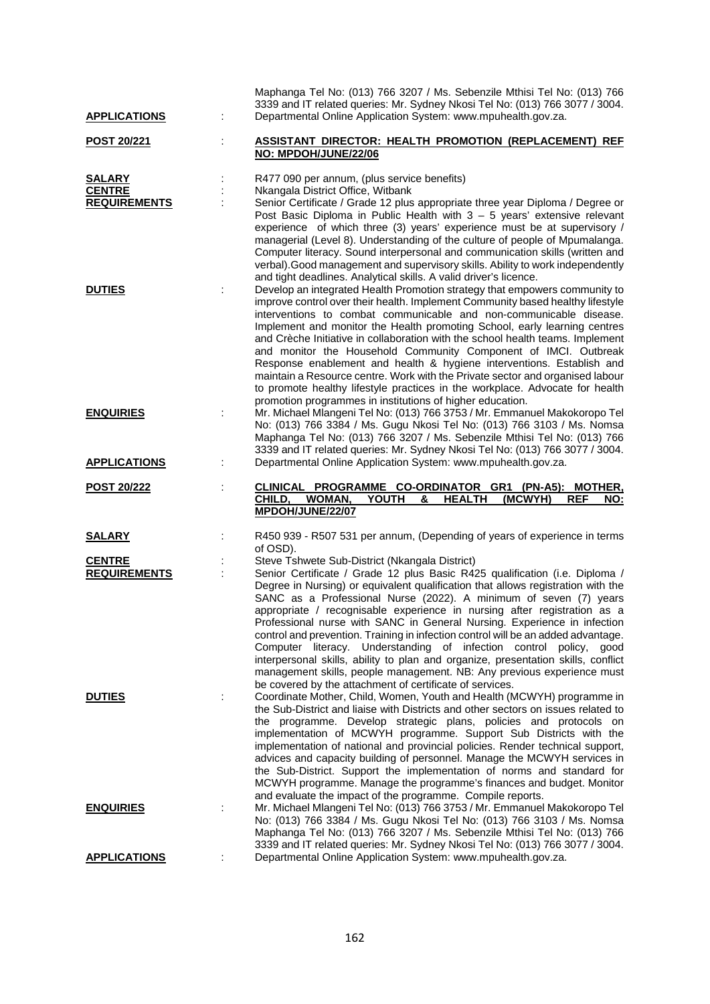| <b>APPLICATIONS</b>                                   |   | Maphanga Tel No: (013) 766 3207 / Ms. Sebenzile Mthisi Tel No: (013) 766<br>3339 and IT related queries: Mr. Sydney Nkosi Tel No: (013) 766 3077 / 3004.<br>Departmental Online Application System: www.mpuhealth.gov.za.                                                                                                                                                                                                                                                                                                                                                                                                                                                                                                                                                                                                                        |
|-------------------------------------------------------|---|--------------------------------------------------------------------------------------------------------------------------------------------------------------------------------------------------------------------------------------------------------------------------------------------------------------------------------------------------------------------------------------------------------------------------------------------------------------------------------------------------------------------------------------------------------------------------------------------------------------------------------------------------------------------------------------------------------------------------------------------------------------------------------------------------------------------------------------------------|
| <u>POST 20/221</u>                                    |   | ASSISTANT DIRECTOR: HEALTH PROMOTION (REPLACEMENT) REF<br>NO: MPDOH/JUNE/22/06                                                                                                                                                                                                                                                                                                                                                                                                                                                                                                                                                                                                                                                                                                                                                                   |
| <b>SALARY</b><br><b>CENTRE</b><br><b>REQUIREMENTS</b> |   | R477 090 per annum, (plus service benefits)<br>Nkangala District Office, Witbank<br>Senior Certificate / Grade 12 plus appropriate three year Diploma / Degree or<br>Post Basic Diploma in Public Health with $3 - 5$ years' extensive relevant<br>experience of which three (3) years' experience must be at supervisory /<br>managerial (Level 8). Understanding of the culture of people of Mpumalanga.<br>Computer literacy. Sound interpersonal and communication skills (written and<br>verbal). Good management and supervisory skills. Ability to work independently                                                                                                                                                                                                                                                                     |
| <b>DUTIES</b>                                         |   | and tight deadlines. Analytical skills. A valid driver's licence.<br>Develop an integrated Health Promotion strategy that empowers community to<br>improve control over their health. Implement Community based healthy lifestyle<br>interventions to combat communicable and non-communicable disease.<br>Implement and monitor the Health promoting School, early learning centres<br>and Crèche Initiative in collaboration with the school health teams. Implement<br>and monitor the Household Community Component of IMCI. Outbreak<br>Response enablement and health & hygiene interventions. Establish and<br>maintain a Resource centre. Work with the Private sector and organised labour<br>to promote healthy lifestyle practices in the workplace. Advocate for health<br>promotion programmes in institutions of higher education. |
| <b>ENQUIRIES</b>                                      |   | Mr. Michael Mlangeni Tel No: (013) 766 3753 / Mr. Emmanuel Makokoropo Tel<br>No: (013) 766 3384 / Ms. Gugu Nkosi Tel No: (013) 766 3103 / Ms. Nomsa<br>Maphanga Tel No: (013) 766 3207 / Ms. Sebenzile Mthisi Tel No: (013) 766<br>3339 and IT related queries: Mr. Sydney Nkosi Tel No: (013) 766 3077 / 3004.                                                                                                                                                                                                                                                                                                                                                                                                                                                                                                                                  |
| <b>APPLICATIONS</b>                                   | ÷ | Departmental Online Application System: www.mpuhealth.gov.za.                                                                                                                                                                                                                                                                                                                                                                                                                                                                                                                                                                                                                                                                                                                                                                                    |
|                                                       |   |                                                                                                                                                                                                                                                                                                                                                                                                                                                                                                                                                                                                                                                                                                                                                                                                                                                  |
| <u>POST 20/222</u>                                    |   | CLINICAL PROGRAMME CO-ORDINATOR GR1 (PN-A5): MOTHER,<br>CHILD,<br>WOMAN,<br><b>YOUTH</b><br><b>HEALTH</b><br>(MCWYH)<br>&<br><b>REF</b><br>NO:<br>MPDOH/JUNE/22/07                                                                                                                                                                                                                                                                                                                                                                                                                                                                                                                                                                                                                                                                               |
| <u>SALARY</u>                                         |   | R450 939 - R507 531 per annum, (Depending of years of experience in terms                                                                                                                                                                                                                                                                                                                                                                                                                                                                                                                                                                                                                                                                                                                                                                        |
| <b>CENTRE</b><br><b>REQUIREMENTS</b>                  |   | of OSD).<br>Steve Tshwete Sub-District (Nkangala District)<br>Senior Certificate / Grade 12 plus Basic R425 qualification (i.e. Diploma /<br>Degree in Nursing) or equivalent qualification that allows registration with the<br>SANC as a Professional Nurse (2022). A minimum of seven (7) years<br>appropriate / recognisable experience in nursing after registration as a<br>Professional nurse with SANC in General Nursing. Experience in infection<br>control and prevention. Training in infection control will be an added advantage.<br>Computer literacy. Understanding of infection control policy,<br>good<br>interpersonal skills, ability to plan and organize, presentation skills, conflict<br>management skills, people management. NB: Any previous experience must                                                          |
| <b>DUTIES</b>                                         |   | be covered by the attachment of certificate of services.<br>Coordinate Mother, Child, Women, Youth and Health (MCWYH) programme in<br>the Sub-District and liaise with Districts and other sectors on issues related to<br>the programme. Develop strategic plans, policies and protocols on<br>implementation of MCWYH programme. Support Sub Districts with the<br>implementation of national and provincial policies. Render technical support,<br>advices and capacity building of personnel. Manage the MCWYH services in<br>the Sub-District. Support the implementation of norms and standard for<br>MCWYH programme. Manage the programme's finances and budget. Monitor                                                                                                                                                                 |
| <b>ENQUIRIES</b>                                      |   | and evaluate the impact of the programme. Compile reports.<br>Mr. Michael Mlangeni Tel No: (013) 766 3753 / Mr. Emmanuel Makokoropo Tel<br>No: (013) 766 3384 / Ms. Gugu Nkosi Tel No: (013) 766 3103 / Ms. Nomsa<br>Maphanga Tel No: (013) 766 3207 / Ms. Sebenzile Mthisi Tel No: (013) 766<br>3339 and IT related queries: Mr. Sydney Nkosi Tel No: (013) 766 3077 / 3004.                                                                                                                                                                                                                                                                                                                                                                                                                                                                    |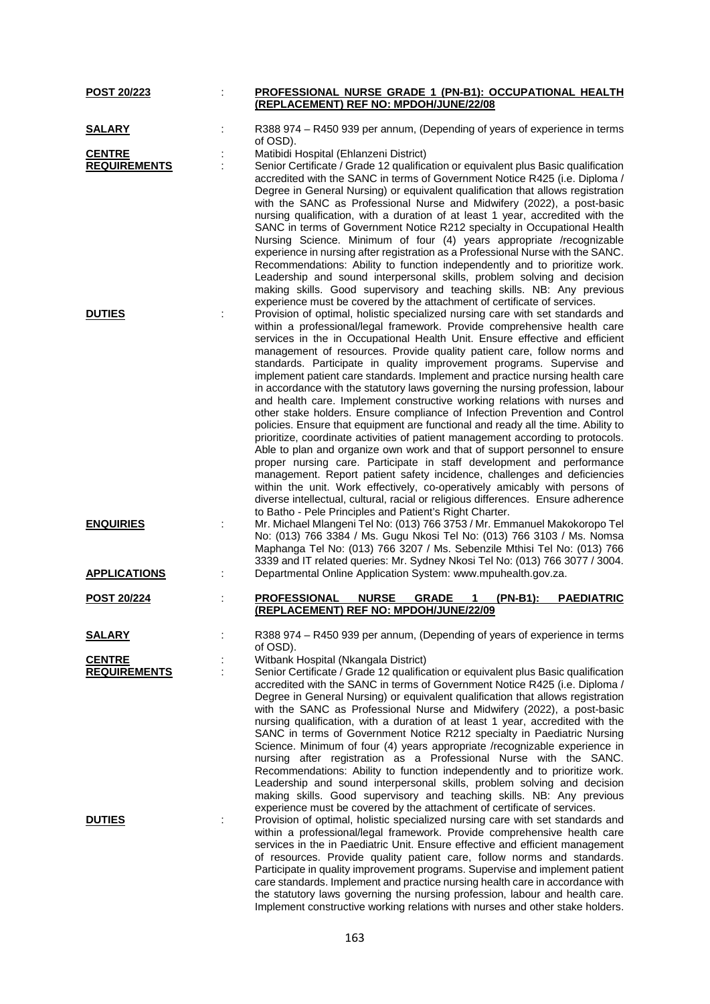| <b>POST 20/223</b>                   | PROFESSIONAL NURSE GRADE 1 (PN-B1): OCCUPATIONAL HEALTH                                                                                                                                                                                                                                                                                                                                                                                                                                                                                                                                                                                                                                                                                                                                                                                                                                                                                                                                                                                                                                                                                                                                                                                                                                                                                                             |
|--------------------------------------|---------------------------------------------------------------------------------------------------------------------------------------------------------------------------------------------------------------------------------------------------------------------------------------------------------------------------------------------------------------------------------------------------------------------------------------------------------------------------------------------------------------------------------------------------------------------------------------------------------------------------------------------------------------------------------------------------------------------------------------------------------------------------------------------------------------------------------------------------------------------------------------------------------------------------------------------------------------------------------------------------------------------------------------------------------------------------------------------------------------------------------------------------------------------------------------------------------------------------------------------------------------------------------------------------------------------------------------------------------------------|
|                                      | (REPLACEMENT) REF NO: MPDOH/JUNE/22/08                                                                                                                                                                                                                                                                                                                                                                                                                                                                                                                                                                                                                                                                                                                                                                                                                                                                                                                                                                                                                                                                                                                                                                                                                                                                                                                              |
| <u>SALARY</u>                        | R388 974 - R450 939 per annum, (Depending of years of experience in terms<br>of OSD).                                                                                                                                                                                                                                                                                                                                                                                                                                                                                                                                                                                                                                                                                                                                                                                                                                                                                                                                                                                                                                                                                                                                                                                                                                                                               |
| <b>CENTRE</b>                        | Matibidi Hospital (Ehlanzeni District)                                                                                                                                                                                                                                                                                                                                                                                                                                                                                                                                                                                                                                                                                                                                                                                                                                                                                                                                                                                                                                                                                                                                                                                                                                                                                                                              |
| <b>REQUIREMENTS</b>                  | Senior Certificate / Grade 12 qualification or equivalent plus Basic qualification                                                                                                                                                                                                                                                                                                                                                                                                                                                                                                                                                                                                                                                                                                                                                                                                                                                                                                                                                                                                                                                                                                                                                                                                                                                                                  |
|                                      | accredited with the SANC in terms of Government Notice R425 (i.e. Diploma /<br>Degree in General Nursing) or equivalent qualification that allows registration<br>with the SANC as Professional Nurse and Midwifery (2022), a post-basic<br>nursing qualification, with a duration of at least 1 year, accredited with the<br>SANC in terms of Government Notice R212 specialty in Occupational Health<br>Nursing Science. Minimum of four (4) years appropriate /recognizable<br>experience in nursing after registration as a Professional Nurse with the SANC.<br>Recommendations: Ability to function independently and to prioritize work.<br>Leadership and sound interpersonal skills, problem solving and decision<br>making skills. Good supervisory and teaching skills. NB: Any previous<br>experience must be covered by the attachment of certificate of services.                                                                                                                                                                                                                                                                                                                                                                                                                                                                                     |
| <b>DUTIES</b>                        | Provision of optimal, holistic specialized nursing care with set standards and<br>within a professional/legal framework. Provide comprehensive health care<br>services in the in Occupational Health Unit. Ensure effective and efficient<br>management of resources. Provide quality patient care, follow norms and<br>standards. Participate in quality improvement programs. Supervise and<br>implement patient care standards. Implement and practice nursing health care<br>in accordance with the statutory laws governing the nursing profession, labour<br>and health care. Implement constructive working relations with nurses and<br>other stake holders. Ensure compliance of Infection Prevention and Control<br>policies. Ensure that equipment are functional and ready all the time. Ability to<br>prioritize, coordinate activities of patient management according to protocols.<br>Able to plan and organize own work and that of support personnel to ensure<br>proper nursing care. Participate in staff development and performance<br>management. Report patient safety incidence, challenges and deficiencies<br>within the unit. Work effectively, co-operatively amicably with persons of<br>diverse intellectual, cultural, racial or religious differences. Ensure adherence<br>to Batho - Pele Principles and Patient's Right Charter. |
| <b>ENQUIRIES</b>                     | Mr. Michael Mlangeni Tel No: (013) 766 3753 / Mr. Emmanuel Makokoropo Tel<br>No: (013) 766 3384 / Ms. Gugu Nkosi Tel No: (013) 766 3103 / Ms. Nomsa<br>Maphanga Tel No: (013) 766 3207 / Ms. Sebenzile Mthisi Tel No: (013) 766<br>3339 and IT related queries: Mr. Sydney Nkosi Tel No: (013) 766 3077 / 3004.                                                                                                                                                                                                                                                                                                                                                                                                                                                                                                                                                                                                                                                                                                                                                                                                                                                                                                                                                                                                                                                     |
| <b>APPLICATIONS</b>                  | Departmental Online Application System: www.mpuhealth.gov.za.                                                                                                                                                                                                                                                                                                                                                                                                                                                                                                                                                                                                                                                                                                                                                                                                                                                                                                                                                                                                                                                                                                                                                                                                                                                                                                       |
| <b>POST 20/224</b>                   | <b>NURSE</b><br><b>GRADE</b><br>(PN-B1):<br><b>PAEDIATRIC</b><br><b>PROFESSIONAL</b><br>1<br>(REPLACEMENT) REF NO: MPDOH/JUNE/22/09                                                                                                                                                                                                                                                                                                                                                                                                                                                                                                                                                                                                                                                                                                                                                                                                                                                                                                                                                                                                                                                                                                                                                                                                                                 |
| <u>SALARY</u>                        | R388 974 – R450 939 per annum, (Depending of years of experience in terms<br>of OSD).                                                                                                                                                                                                                                                                                                                                                                                                                                                                                                                                                                                                                                                                                                                                                                                                                                                                                                                                                                                                                                                                                                                                                                                                                                                                               |
| <b>CENTRE</b><br><b>REQUIREMENTS</b> | Witbank Hospital (Nkangala District)<br>Senior Certificate / Grade 12 qualification or equivalent plus Basic qualification<br>accredited with the SANC in terms of Government Notice R425 (i.e. Diploma /<br>Degree in General Nursing) or equivalent qualification that allows registration<br>with the SANC as Professional Nurse and Midwifery (2022), a post-basic<br>nursing qualification, with a duration of at least 1 year, accredited with the<br>SANC in terms of Government Notice R212 specialty in Paediatric Nursing<br>Science. Minimum of four (4) years appropriate /recognizable experience in<br>nursing after registration as a Professional Nurse with the SANC.<br>Recommendations: Ability to function independently and to prioritize work.<br>Leadership and sound interpersonal skills, problem solving and decision<br>making skills. Good supervisory and teaching skills. NB: Any previous<br>experience must be covered by the attachment of certificate of services.                                                                                                                                                                                                                                                                                                                                                                |
| <b>DUTIES</b>                        | Provision of optimal, holistic specialized nursing care with set standards and<br>within a professional/legal framework. Provide comprehensive health care<br>services in the in Paediatric Unit. Ensure effective and efficient management<br>of resources. Provide quality patient care, follow norms and standards.<br>Participate in quality improvement programs. Supervise and implement patient<br>care standards. Implement and practice nursing health care in accordance with<br>the statutory laws governing the nursing profession, labour and health care.<br>Implement constructive working relations with nurses and other stake holders.                                                                                                                                                                                                                                                                                                                                                                                                                                                                                                                                                                                                                                                                                                            |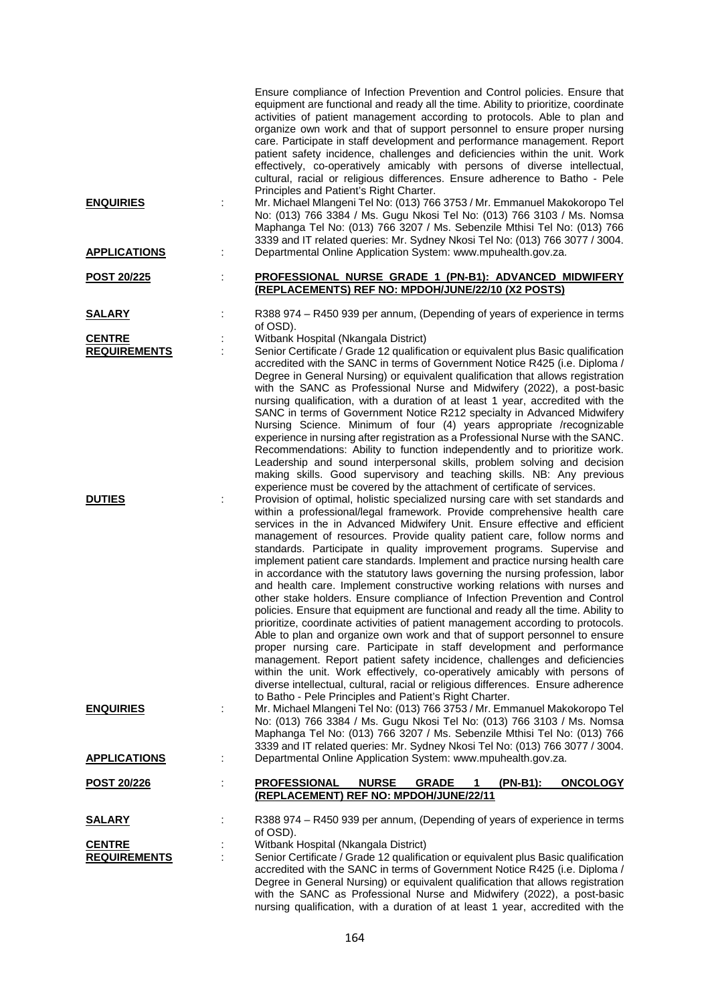| <b>ENQUIRIES</b>    |   | Ensure compliance of Infection Prevention and Control policies. Ensure that<br>equipment are functional and ready all the time. Ability to prioritize, coordinate<br>activities of patient management according to protocols. Able to plan and<br>organize own work and that of support personnel to ensure proper nursing<br>care. Participate in staff development and performance management. Report<br>patient safety incidence, challenges and deficiencies within the unit. Work<br>effectively, co-operatively amicably with persons of diverse intellectual,<br>cultural, racial or religious differences. Ensure adherence to Batho - Pele<br>Principles and Patient's Right Charter.<br>Mr. Michael Mlangeni Tel No: (013) 766 3753 / Mr. Emmanuel Makokoropo Tel<br>No: (013) 766 3384 / Ms. Gugu Nkosi Tel No: (013) 766 3103 / Ms. Nomsa<br>Maphanga Tel No: (013) 766 3207 / Ms. Sebenzile Mthisi Tel No: (013) 766                                                                                                                                                                                                                                                                                                                                                                                                                                 |
|---------------------|---|-------------------------------------------------------------------------------------------------------------------------------------------------------------------------------------------------------------------------------------------------------------------------------------------------------------------------------------------------------------------------------------------------------------------------------------------------------------------------------------------------------------------------------------------------------------------------------------------------------------------------------------------------------------------------------------------------------------------------------------------------------------------------------------------------------------------------------------------------------------------------------------------------------------------------------------------------------------------------------------------------------------------------------------------------------------------------------------------------------------------------------------------------------------------------------------------------------------------------------------------------------------------------------------------------------------------------------------------------------------------|
| <b>APPLICATIONS</b> | ÷ | 3339 and IT related queries: Mr. Sydney Nkosi Tel No: (013) 766 3077 / 3004.<br>Departmental Online Application System: www.mpuhealth.gov.za.                                                                                                                                                                                                                                                                                                                                                                                                                                                                                                                                                                                                                                                                                                                                                                                                                                                                                                                                                                                                                                                                                                                                                                                                                     |
| <u>POST 20/225</u>  |   | PROFESSIONAL NURSE GRADE 1 (PN-B1): ADVANCED MIDWIFERY<br>(REPLACEMENTS) REF NO: MPDOH/JUNE/22/10 (X2 POSTS)                                                                                                                                                                                                                                                                                                                                                                                                                                                                                                                                                                                                                                                                                                                                                                                                                                                                                                                                                                                                                                                                                                                                                                                                                                                      |
| <b>SALARY</b>       |   | R388 974 – R450 939 per annum, (Depending of years of experience in terms<br>of OSD).                                                                                                                                                                                                                                                                                                                                                                                                                                                                                                                                                                                                                                                                                                                                                                                                                                                                                                                                                                                                                                                                                                                                                                                                                                                                             |
| <b>CENTRE</b>       |   | Witbank Hospital (Nkangala District)                                                                                                                                                                                                                                                                                                                                                                                                                                                                                                                                                                                                                                                                                                                                                                                                                                                                                                                                                                                                                                                                                                                                                                                                                                                                                                                              |
| <b>REQUIREMENTS</b> |   | Senior Certificate / Grade 12 qualification or equivalent plus Basic qualification<br>accredited with the SANC in terms of Government Notice R425 (i.e. Diploma /<br>Degree in General Nursing) or equivalent qualification that allows registration<br>with the SANC as Professional Nurse and Midwifery (2022), a post-basic<br>nursing qualification, with a duration of at least 1 year, accredited with the<br>SANC in terms of Government Notice R212 specialty in Advanced Midwifery<br>Nursing Science. Minimum of four (4) years appropriate /recognizable<br>experience in nursing after registration as a Professional Nurse with the SANC.<br>Recommendations: Ability to function independently and to prioritize work.<br>Leadership and sound interpersonal skills, problem solving and decision<br>making skills. Good supervisory and teaching skills. NB: Any previous<br>experience must be covered by the attachment of certificate of services.                                                                                                                                                                                                                                                                                                                                                                                              |
| <b>DUTIES</b>       |   | Provision of optimal, holistic specialized nursing care with set standards and<br>within a professional/legal framework. Provide comprehensive health care<br>services in the in Advanced Midwifery Unit. Ensure effective and efficient<br>management of resources. Provide quality patient care, follow norms and<br>standards. Participate in quality improvement programs. Supervise and<br>implement patient care standards. Implement and practice nursing health care<br>in accordance with the statutory laws governing the nursing profession, labor<br>and health care. Implement constructive working relations with nurses and<br>other stake holders. Ensure compliance of Infection Prevention and Control<br>policies. Ensure that equipment are functional and ready all the time. Ability to<br>prioritize, coordinate activities of patient management according to protocols.<br>Able to plan and organize own work and that of support personnel to ensure<br>proper nursing care. Participate in staff development and performance<br>management. Report patient safety incidence, challenges and deficiencies<br>within the unit. Work effectively, co-operatively amicably with persons of<br>diverse intellectual, cultural, racial or religious differences. Ensure adherence<br>to Batho - Pele Principles and Patient's Right Charter. |
| <b>ENQUIRIES</b>    |   | Mr. Michael Mlangeni Tel No: (013) 766 3753 / Mr. Emmanuel Makokoropo Tel<br>No: (013) 766 3384 / Ms. Gugu Nkosi Tel No: (013) 766 3103 / Ms. Nomsa<br>Maphanga Tel No: (013) 766 3207 / Ms. Sebenzile Mthisi Tel No: (013) 766<br>3339 and IT related queries: Mr. Sydney Nkosi Tel No: (013) 766 3077 / 3004.                                                                                                                                                                                                                                                                                                                                                                                                                                                                                                                                                                                                                                                                                                                                                                                                                                                                                                                                                                                                                                                   |
| <b>APPLICATIONS</b> | ÷ | Departmental Online Application System: www.mpuhealth.gov.za.                                                                                                                                                                                                                                                                                                                                                                                                                                                                                                                                                                                                                                                                                                                                                                                                                                                                                                                                                                                                                                                                                                                                                                                                                                                                                                     |
| POST 20/226         | ÷ | <b>NURSE</b><br><b>PROFESSIONAL</b><br><b>GRADE</b><br>(PN-B1):<br><b>ONCOLOGY</b><br>1<br>(REPLACEMENT) REF NO: MPDOH/JUNE/22/11                                                                                                                                                                                                                                                                                                                                                                                                                                                                                                                                                                                                                                                                                                                                                                                                                                                                                                                                                                                                                                                                                                                                                                                                                                 |
| <u>SALARY</u>       |   | R388 974 – R450 939 per annum, (Depending of years of experience in terms<br>of OSD).                                                                                                                                                                                                                                                                                                                                                                                                                                                                                                                                                                                                                                                                                                                                                                                                                                                                                                                                                                                                                                                                                                                                                                                                                                                                             |
| <b>CENTRE</b>       |   | Witbank Hospital (Nkangala District)                                                                                                                                                                                                                                                                                                                                                                                                                                                                                                                                                                                                                                                                                                                                                                                                                                                                                                                                                                                                                                                                                                                                                                                                                                                                                                                              |
| <b>REQUIREMENTS</b> |   | Senior Certificate / Grade 12 qualification or equivalent plus Basic qualification<br>accredited with the SANC in terms of Government Notice R425 (i.e. Diploma /<br>Degree in General Nursing) or equivalent qualification that allows registration<br>with the SANC as Professional Nurse and Midwifery (2022), a post-basic<br>nursing qualification, with a duration of at least 1 year, accredited with the                                                                                                                                                                                                                                                                                                                                                                                                                                                                                                                                                                                                                                                                                                                                                                                                                                                                                                                                                  |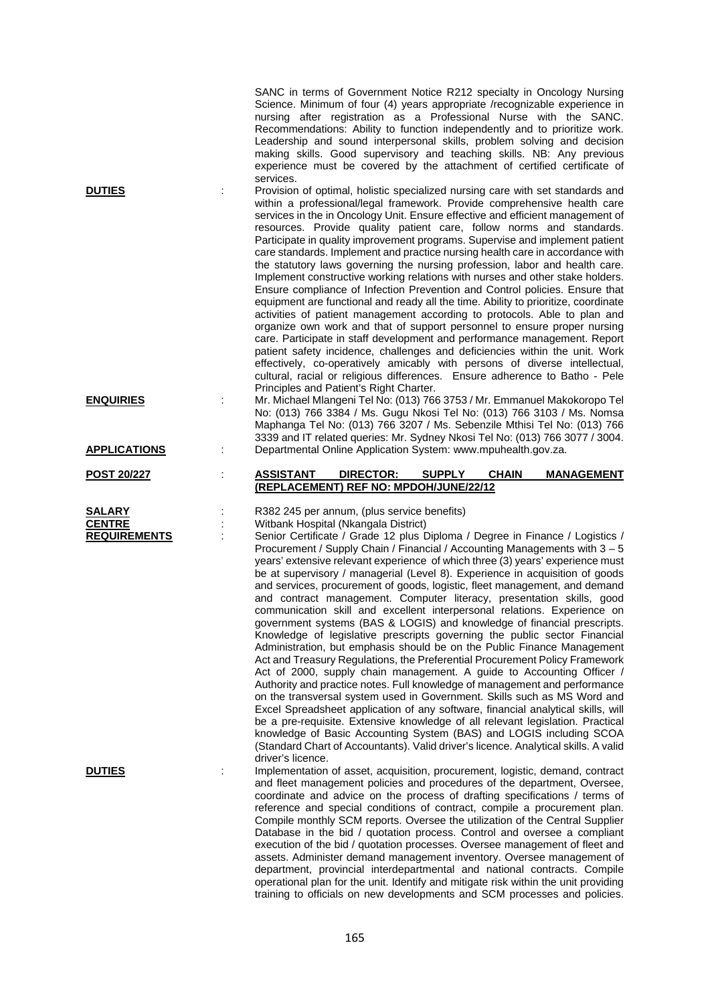|                                                       |    | SANC in terms of Government Notice R212 specialty in Oncology Nursing<br>Science. Minimum of four (4) years appropriate /recognizable experience in<br>nursing after registration as a Professional Nurse with the SANC.<br>Recommendations: Ability to function independently and to prioritize work.<br>Leadership and sound interpersonal skills, problem solving and decision<br>making skills. Good supervisory and teaching skills. NB: Any previous<br>experience must be covered by the attachment of certified certificate of<br>services.                                                                                                                                                                                                                                                                                                                                                                                                                                                                                                                                                                                                                                                                                                                                                                                                                                                                                                                                                                                             |
|-------------------------------------------------------|----|-------------------------------------------------------------------------------------------------------------------------------------------------------------------------------------------------------------------------------------------------------------------------------------------------------------------------------------------------------------------------------------------------------------------------------------------------------------------------------------------------------------------------------------------------------------------------------------------------------------------------------------------------------------------------------------------------------------------------------------------------------------------------------------------------------------------------------------------------------------------------------------------------------------------------------------------------------------------------------------------------------------------------------------------------------------------------------------------------------------------------------------------------------------------------------------------------------------------------------------------------------------------------------------------------------------------------------------------------------------------------------------------------------------------------------------------------------------------------------------------------------------------------------------------------|
| <b>DUTIES</b>                                         |    | Provision of optimal, holistic specialized nursing care with set standards and<br>within a professional/legal framework. Provide comprehensive health care<br>services in the in Oncology Unit. Ensure effective and efficient management of<br>resources. Provide quality patient care, follow norms and standards.<br>Participate in quality improvement programs. Supervise and implement patient<br>care standards. Implement and practice nursing health care in accordance with<br>the statutory laws governing the nursing profession, labor and health care.<br>Implement constructive working relations with nurses and other stake holders.<br>Ensure compliance of Infection Prevention and Control policies. Ensure that<br>equipment are functional and ready all the time. Ability to prioritize, coordinate<br>activities of patient management according to protocols. Able to plan and<br>organize own work and that of support personnel to ensure proper nursing<br>care. Participate in staff development and performance management. Report<br>patient safety incidence, challenges and deficiencies within the unit. Work<br>effectively, co-operatively amicably with persons of diverse intellectual,<br>cultural, racial or religious differences. Ensure adherence to Batho - Pele<br>Principles and Patient's Right Charter.                                                                                                                                                                                         |
| <b>ENQUIRIES</b>                                      | ÷  | Mr. Michael Mlangeni Tel No: (013) 766 3753 / Mr. Emmanuel Makokoropo Tel<br>No: (013) 766 3384 / Ms. Gugu Nkosi Tel No: (013) 766 3103 / Ms. Nomsa<br>Maphanga Tel No: (013) 766 3207 / Ms. Sebenzile Mthisi Tel No: (013) 766<br>3339 and IT related queries: Mr. Sydney Nkosi Tel No: (013) 766 3077 / 3004.                                                                                                                                                                                                                                                                                                                                                                                                                                                                                                                                                                                                                                                                                                                                                                                                                                                                                                                                                                                                                                                                                                                                                                                                                                 |
| <b>APPLICATIONS</b>                                   | İ. | Departmental Online Application System: www.mpuhealth.gov.za.                                                                                                                                                                                                                                                                                                                                                                                                                                                                                                                                                                                                                                                                                                                                                                                                                                                                                                                                                                                                                                                                                                                                                                                                                                                                                                                                                                                                                                                                                   |
| <b>POST 20/227</b>                                    |    | <b>ASSISTANT</b><br>DIRECTOR:<br><b>SUPPLY</b><br><b>CHAIN</b><br><b>MANAGEMENT</b><br>(REPLACEMENT) REF NO: MPDOH/JUNE/22/12                                                                                                                                                                                                                                                                                                                                                                                                                                                                                                                                                                                                                                                                                                                                                                                                                                                                                                                                                                                                                                                                                                                                                                                                                                                                                                                                                                                                                   |
| <b>SALARY</b><br><b>CENTRE</b><br><b>REQUIREMENTS</b> | ÷  | R382 245 per annum, (plus service benefits)<br>Witbank Hospital (Nkangala District)<br>Senior Certificate / Grade 12 plus Diploma / Degree in Finance / Logistics /<br>Procurement / Supply Chain / Financial / Accounting Managements with 3 - 5<br>years' extensive relevant experience of which three (3) years' experience must<br>be at supervisory / managerial (Level 8). Experience in acquisition of goods<br>and services, procurement of goods, logistic, fleet management, and demand<br>and contract management. Computer literacy, presentation skills, good<br>communication skill and excellent interpersonal relations. Experience on<br>government systems (BAS & LOGIS) and knowledge of financial prescripts.<br>Knowledge of legislative prescripts governing the public sector Financial<br>Administration, but emphasis should be on the Public Finance Management<br>Act and Treasury Regulations, the Preferential Procurement Policy Framework<br>Act of 2000, supply chain management. A guide to Accounting Officer /<br>Authority and practice notes. Full knowledge of management and performance<br>on the transversal system used in Government. Skills such as MS Word and<br>Excel Spreadsheet application of any software, financial analytical skills, will<br>be a pre-requisite. Extensive knowledge of all relevant legislation. Practical<br>knowledge of Basic Accounting System (BAS) and LOGIS including SCOA<br>(Standard Chart of Accountants). Valid driver's licence. Analytical skills. A valid |
| <b>DUTIES</b>                                         |    | driver's licence.                                                                                                                                                                                                                                                                                                                                                                                                                                                                                                                                                                                                                                                                                                                                                                                                                                                                                                                                                                                                                                                                                                                                                                                                                                                                                                                                                                                                                                                                                                                               |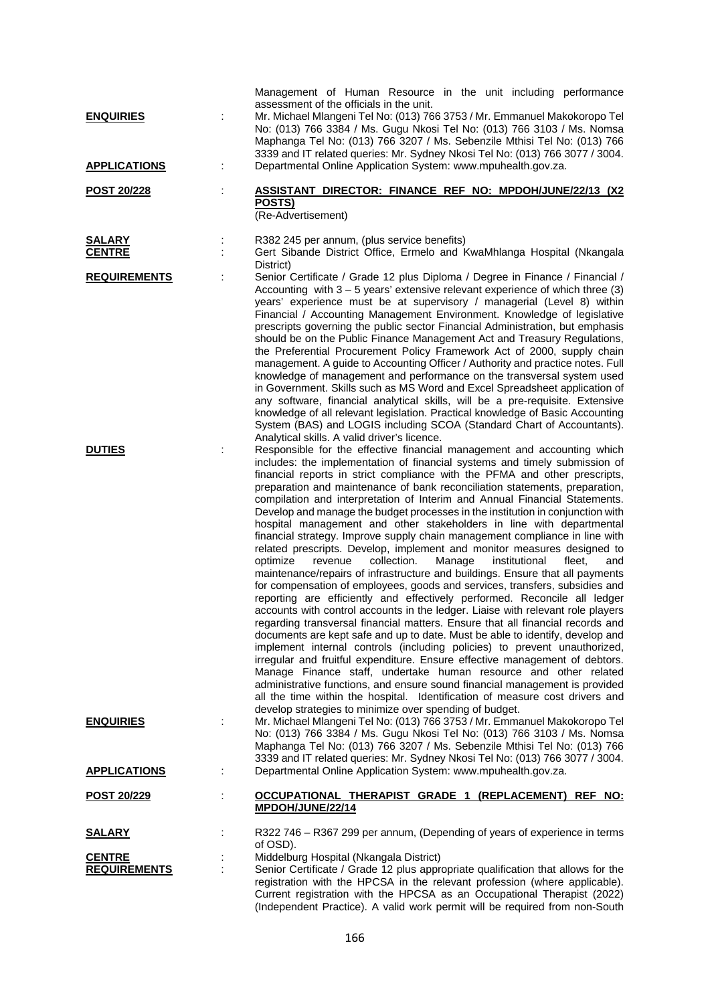|                                         |   | Management of Human Resource in the unit including performance<br>assessment of the officials in the unit.                                                                                                                                                                                                                                                                                                                                                                                                                                                                                                                                                                                                                                                                                                                                                                                                                                                                                                                                                                                                                                                                                                                                                                                                                                                                                                                                                                                                                                                                                                                                                                                                                                                          |
|-----------------------------------------|---|---------------------------------------------------------------------------------------------------------------------------------------------------------------------------------------------------------------------------------------------------------------------------------------------------------------------------------------------------------------------------------------------------------------------------------------------------------------------------------------------------------------------------------------------------------------------------------------------------------------------------------------------------------------------------------------------------------------------------------------------------------------------------------------------------------------------------------------------------------------------------------------------------------------------------------------------------------------------------------------------------------------------------------------------------------------------------------------------------------------------------------------------------------------------------------------------------------------------------------------------------------------------------------------------------------------------------------------------------------------------------------------------------------------------------------------------------------------------------------------------------------------------------------------------------------------------------------------------------------------------------------------------------------------------------------------------------------------------------------------------------------------------|
| <b>ENQUIRIES</b>                        |   | Mr. Michael Mlangeni Tel No: (013) 766 3753 / Mr. Emmanuel Makokoropo Tel<br>No: (013) 766 3384 / Ms. Gugu Nkosi Tel No: (013) 766 3103 / Ms. Nomsa<br>Maphanga Tel No: (013) 766 3207 / Ms. Sebenzile Mthisi Tel No: (013) 766<br>3339 and IT related queries: Mr. Sydney Nkosi Tel No: (013) 766 3077 / 3004.                                                                                                                                                                                                                                                                                                                                                                                                                                                                                                                                                                                                                                                                                                                                                                                                                                                                                                                                                                                                                                                                                                                                                                                                                                                                                                                                                                                                                                                     |
| <b>APPLICATIONS</b>                     | t | Departmental Online Application System: www.mpuhealth.gov.za.                                                                                                                                                                                                                                                                                                                                                                                                                                                                                                                                                                                                                                                                                                                                                                                                                                                                                                                                                                                                                                                                                                                                                                                                                                                                                                                                                                                                                                                                                                                                                                                                                                                                                                       |
| <b>POST 20/228</b>                      |   | ASSISTANT DIRECTOR: FINANCE REF NO: MPDOH/JUNE/22/13 (X2<br><b>POSTS)</b><br>(Re-Advertisement)                                                                                                                                                                                                                                                                                                                                                                                                                                                                                                                                                                                                                                                                                                                                                                                                                                                                                                                                                                                                                                                                                                                                                                                                                                                                                                                                                                                                                                                                                                                                                                                                                                                                     |
| <b>SALARY</b><br><b>CENTRE</b>          | ÷ | R382 245 per annum, (plus service benefits)<br>Gert Sibande District Office, Ermelo and KwaMhlanga Hospital (Nkangala<br>District)                                                                                                                                                                                                                                                                                                                                                                                                                                                                                                                                                                                                                                                                                                                                                                                                                                                                                                                                                                                                                                                                                                                                                                                                                                                                                                                                                                                                                                                                                                                                                                                                                                  |
| <b>REQUIREMENTS</b>                     |   | Senior Certificate / Grade 12 plus Diploma / Degree in Finance / Financial /<br>Accounting with $3 - 5$ years' extensive relevant experience of which three (3)<br>years' experience must be at supervisory / managerial (Level 8) within<br>Financial / Accounting Management Environment. Knowledge of legislative<br>prescripts governing the public sector Financial Administration, but emphasis<br>should be on the Public Finance Management Act and Treasury Regulations,<br>the Preferential Procurement Policy Framework Act of 2000, supply chain<br>management. A guide to Accounting Officer / Authority and practice notes. Full<br>knowledge of management and performance on the transversal system used<br>in Government. Skills such as MS Word and Excel Spreadsheet application of<br>any software, financial analytical skills, will be a pre-requisite. Extensive<br>knowledge of all relevant legislation. Practical knowledge of Basic Accounting<br>System (BAS) and LOGIS including SCOA (Standard Chart of Accountants).<br>Analytical skills. A valid driver's licence.                                                                                                                                                                                                                                                                                                                                                                                                                                                                                                                                                                                                                                                                 |
| <b>DUTIES</b>                           |   | Responsible for the effective financial management and accounting which<br>includes: the implementation of financial systems and timely submission of<br>financial reports in strict compliance with the PFMA and other prescripts,<br>preparation and maintenance of bank reconciliation statements, preparation,<br>compilation and interpretation of Interim and Annual Financial Statements.<br>Develop and manage the budget processes in the institution in conjunction with<br>hospital management and other stakeholders in line with departmental<br>financial strategy. Improve supply chain management compliance in line with<br>related prescripts. Develop, implement and monitor measures designed to<br>collection.<br>optimize<br>revenue<br>Manage<br>institutional<br>fleet,<br>and<br>maintenance/repairs of infrastructure and buildings. Ensure that all payments<br>for compensation of employees, goods and services, transfers, subsidies and<br>reporting are efficiently and effectively performed. Reconcile all ledger<br>accounts with control accounts in the ledger. Liaise with relevant role players<br>regarding transversal financial matters. Ensure that all financial records and<br>documents are kept safe and up to date. Must be able to identify, develop and<br>implement internal controls (including policies) to prevent unauthorized,<br>irregular and fruitful expenditure. Ensure effective management of debtors.<br>Manage Finance staff, undertake human resource and other related<br>administrative functions, and ensure sound financial management is provided<br>all the time within the hospital. Identification of measure cost drivers and<br>develop strategies to minimize over spending of budget. |
| <b>ENQUIRIES</b><br><b>APPLICATIONS</b> | ÷ | Mr. Michael Mlangeni Tel No: (013) 766 3753 / Mr. Emmanuel Makokoropo Tel<br>No: (013) 766 3384 / Ms. Gugu Nkosi Tel No: (013) 766 3103 / Ms. Nomsa<br>Maphanga Tel No: (013) 766 3207 / Ms. Sebenzile Mthisi Tel No: (013) 766<br>3339 and IT related queries: Mr. Sydney Nkosi Tel No: (013) 766 3077 / 3004.<br>Departmental Online Application System: www.mpuhealth.gov.za.                                                                                                                                                                                                                                                                                                                                                                                                                                                                                                                                                                                                                                                                                                                                                                                                                                                                                                                                                                                                                                                                                                                                                                                                                                                                                                                                                                                    |
|                                         |   |                                                                                                                                                                                                                                                                                                                                                                                                                                                                                                                                                                                                                                                                                                                                                                                                                                                                                                                                                                                                                                                                                                                                                                                                                                                                                                                                                                                                                                                                                                                                                                                                                                                                                                                                                                     |
| <u>POST 20/229</u>                      |   | OCCUPATIONAL THERAPIST GRADE 1 (REPLACEMENT) REF NO:<br>MPDOH/JUNE/22/14                                                                                                                                                                                                                                                                                                                                                                                                                                                                                                                                                                                                                                                                                                                                                                                                                                                                                                                                                                                                                                                                                                                                                                                                                                                                                                                                                                                                                                                                                                                                                                                                                                                                                            |
| <u>SALARY</u>                           |   | R322 746 - R367 299 per annum, (Depending of years of experience in terms<br>of OSD).                                                                                                                                                                                                                                                                                                                                                                                                                                                                                                                                                                                                                                                                                                                                                                                                                                                                                                                                                                                                                                                                                                                                                                                                                                                                                                                                                                                                                                                                                                                                                                                                                                                                               |
| <b>CENTRE</b>                           |   | Middelburg Hospital (Nkangala District)                                                                                                                                                                                                                                                                                                                                                                                                                                                                                                                                                                                                                                                                                                                                                                                                                                                                                                                                                                                                                                                                                                                                                                                                                                                                                                                                                                                                                                                                                                                                                                                                                                                                                                                             |
| <b>REQUIREMENTS</b>                     |   | Senior Certificate / Grade 12 plus appropriate qualification that allows for the<br>registration with the HPCSA in the relevant profession (where applicable).<br>Current registration with the HPCSA as an Occupational Therapist (2022)                                                                                                                                                                                                                                                                                                                                                                                                                                                                                                                                                                                                                                                                                                                                                                                                                                                                                                                                                                                                                                                                                                                                                                                                                                                                                                                                                                                                                                                                                                                           |

(Independent Practice). A valid work permit will be required from non-South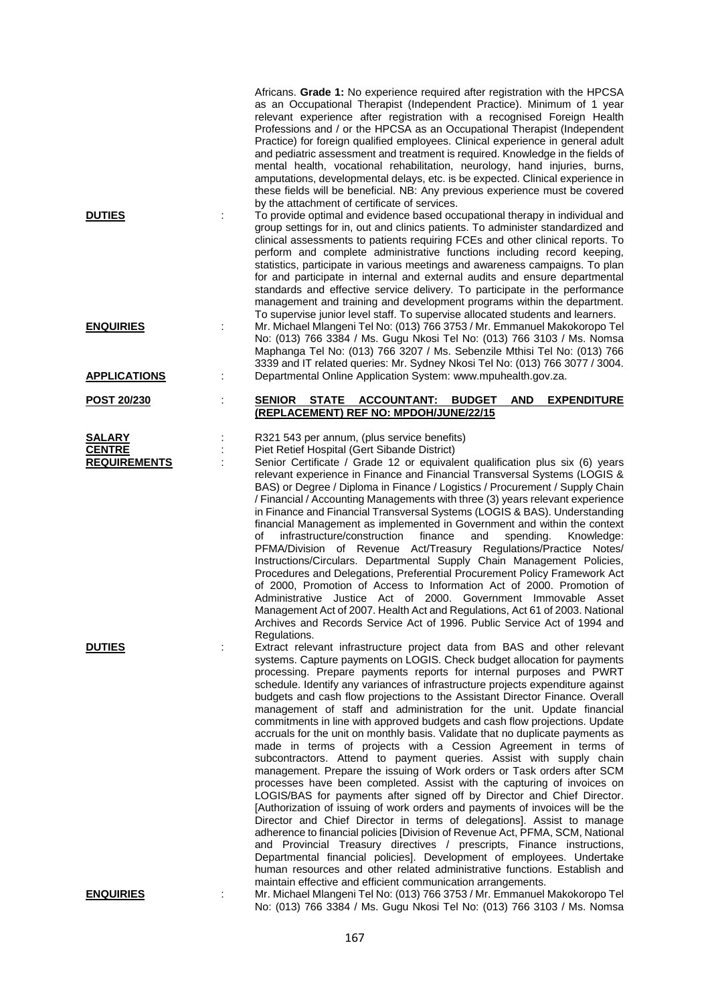|                                                       |   | Africans. Grade 1: No experience required after registration with the HPCSA<br>as an Occupational Therapist (Independent Practice). Minimum of 1 year<br>relevant experience after registration with a recognised Foreign Health<br>Professions and / or the HPCSA as an Occupational Therapist (Independent<br>Practice) for foreign qualified employees. Clinical experience in general adult<br>and pediatric assessment and treatment is required. Knowledge in the fields of<br>mental health, vocational rehabilitation, neurology, hand injuries, burns,<br>amputations, developmental delays, etc. is be expected. Clinical experience in<br>these fields will be beneficial. NB: Any previous experience must be covered<br>by the attachment of certificate of services.                                                                                                                                                                                                                                                                                                                                                                                                                                                                                                                                                                                                                                                                                                             |
|-------------------------------------------------------|---|------------------------------------------------------------------------------------------------------------------------------------------------------------------------------------------------------------------------------------------------------------------------------------------------------------------------------------------------------------------------------------------------------------------------------------------------------------------------------------------------------------------------------------------------------------------------------------------------------------------------------------------------------------------------------------------------------------------------------------------------------------------------------------------------------------------------------------------------------------------------------------------------------------------------------------------------------------------------------------------------------------------------------------------------------------------------------------------------------------------------------------------------------------------------------------------------------------------------------------------------------------------------------------------------------------------------------------------------------------------------------------------------------------------------------------------------------------------------------------------------|
| <b>DUTIES</b>                                         |   | To provide optimal and evidence based occupational therapy in individual and<br>group settings for in, out and clinics patients. To administer standardized and<br>clinical assessments to patients requiring FCEs and other clinical reports. To<br>perform and complete administrative functions including record keeping,<br>statistics, participate in various meetings and awareness campaigns. To plan<br>for and participate in internal and external audits and ensure departmental<br>standards and effective service delivery. To participate in the performance<br>management and training and development programs within the department.<br>To supervise junior level staff. To supervise allocated students and learners.                                                                                                                                                                                                                                                                                                                                                                                                                                                                                                                                                                                                                                                                                                                                                        |
| <b>ENQUIRIES</b>                                      |   | Mr. Michael Mlangeni Tel No: (013) 766 3753 / Mr. Emmanuel Makokoropo Tel<br>No: (013) 766 3384 / Ms. Gugu Nkosi Tel No: (013) 766 3103 / Ms. Nomsa<br>Maphanga Tel No: (013) 766 3207 / Ms. Sebenzile Mthisi Tel No: (013) 766<br>3339 and IT related queries: Mr. Sydney Nkosi Tel No: (013) 766 3077 / 3004.                                                                                                                                                                                                                                                                                                                                                                                                                                                                                                                                                                                                                                                                                                                                                                                                                                                                                                                                                                                                                                                                                                                                                                                |
| <b>APPLICATIONS</b>                                   | ÷ | Departmental Online Application System: www.mpuhealth.gov.za.                                                                                                                                                                                                                                                                                                                                                                                                                                                                                                                                                                                                                                                                                                                                                                                                                                                                                                                                                                                                                                                                                                                                                                                                                                                                                                                                                                                                                                  |
| <b>POST 20/230</b>                                    | İ | SENIOR STATE<br><b>ACCOUNTANT:</b><br><b>BUDGET</b><br><b>EXPENDITURE</b><br><b>AND</b><br>(REPLACEMENT) REF NO: MPDOH/JUNE/22/15                                                                                                                                                                                                                                                                                                                                                                                                                                                                                                                                                                                                                                                                                                                                                                                                                                                                                                                                                                                                                                                                                                                                                                                                                                                                                                                                                              |
| <b>SALARY</b><br><b>CENTRE</b><br><b>REQUIREMENTS</b> |   | R321 543 per annum, (plus service benefits)<br>Piet Retief Hospital (Gert Sibande District)<br>Senior Certificate / Grade 12 or equivalent qualification plus six (6) years<br>relevant experience in Finance and Financial Transversal Systems (LOGIS &<br>BAS) or Degree / Diploma in Finance / Logistics / Procurement / Supply Chain<br>/ Financial / Accounting Managements with three (3) years relevant experience<br>in Finance and Financial Transversal Systems (LOGIS & BAS). Understanding<br>financial Management as implemented in Government and within the context<br>infrastructure/construction<br>finance<br>of<br>and<br>spending.<br>Knowledge:<br>PFMA/Division of Revenue Act/Treasury Regulations/Practice Notes/<br>Instructions/Circulars. Departmental Supply Chain Management Policies,<br>Procedures and Delegations, Preferential Procurement Policy Framework Act<br>of 2000, Promotion of Access to Information Act of 2000. Promotion of<br>Administrative Justice Act of 2000. Government Immovable Asset<br>Management Act of 2007. Health Act and Regulations, Act 61 of 2003. National<br>Archives and Records Service Act of 1996. Public Service Act of 1994 and<br>Regulations.                                                                                                                                                                                                                                                                        |
| <b>DUTIES</b>                                         |   | Extract relevant infrastructure project data from BAS and other relevant<br>systems. Capture payments on LOGIS. Check budget allocation for payments<br>processing. Prepare payments reports for internal purposes and PWRT<br>schedule. Identify any variances of infrastructure projects expenditure against<br>budgets and cash flow projections to the Assistant Director Finance. Overall<br>management of staff and administration for the unit. Update financial<br>commitments in line with approved budgets and cash flow projections. Update<br>accruals for the unit on monthly basis. Validate that no duplicate payments as<br>made in terms of projects with a Cession Agreement in terms of<br>subcontractors. Attend to payment queries. Assist with supply chain<br>management. Prepare the issuing of Work orders or Task orders after SCM<br>processes have been completed. Assist with the capturing of invoices on<br>LOGIS/BAS for payments after signed off by Director and Chief Director.<br>[Authorization of issuing of work orders and payments of invoices will be the<br>Director and Chief Director in terms of delegations]. Assist to manage<br>adherence to financial policies [Division of Revenue Act, PFMA, SCM, National<br>and Provincial Treasury directives / prescripts, Finance instructions,<br>Departmental financial policies]. Development of employees. Undertake<br>human resources and other related administrative functions. Establish and |
| <b>ENQUIRIES</b>                                      |   | maintain effective and efficient communication arrangements.<br>Mr. Michael Mlangeni Tel No: (013) 766 3753 / Mr. Emmanuel Makokoropo Tel                                                                                                                                                                                                                                                                                                                                                                                                                                                                                                                                                                                                                                                                                                                                                                                                                                                                                                                                                                                                                                                                                                                                                                                                                                                                                                                                                      |

167

No: (013) 766 3384 / Ms. Gugu Nkosi Tel No: (013) 766 3103 / Ms. Nomsa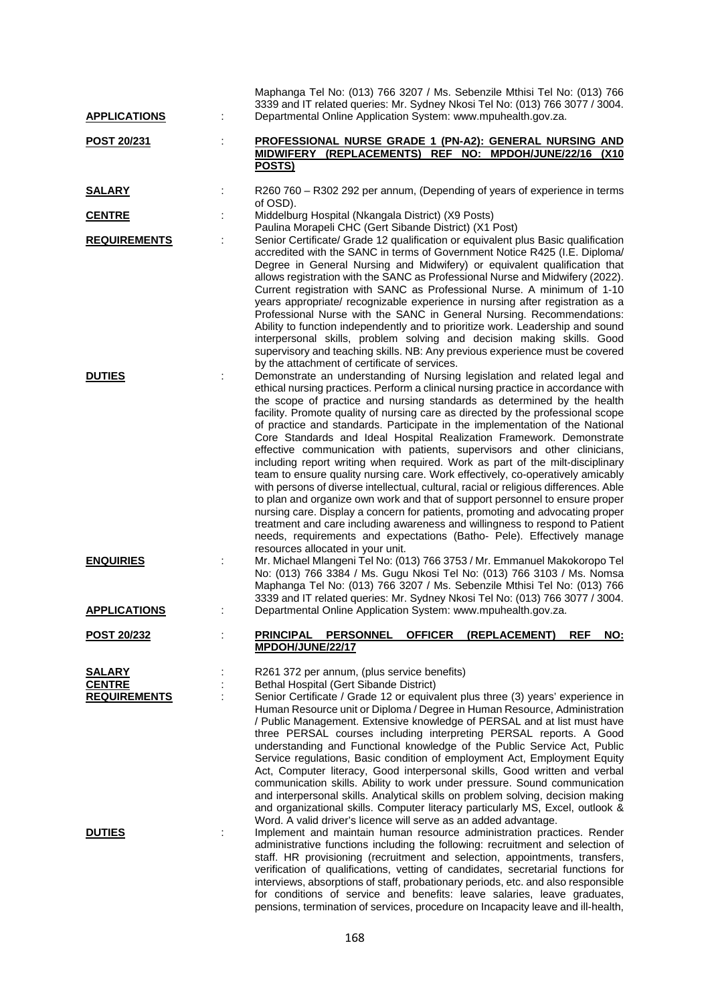| <b>APPLICATIONS</b>                            | Maphanga Tel No: (013) 766 3207 / Ms. Sebenzile Mthisi Tel No: (013) 766<br>3339 and IT related queries: Mr. Sydney Nkosi Tel No: (013) 766 3077 / 3004.<br>Departmental Online Application System: www.mpuhealth.gov.za.                                                                                                                                                                                                                                                                                                                                                                                                                                                                                                                                                                                                                                                                                                                                                                                                                                                                                                                                                                                |
|------------------------------------------------|----------------------------------------------------------------------------------------------------------------------------------------------------------------------------------------------------------------------------------------------------------------------------------------------------------------------------------------------------------------------------------------------------------------------------------------------------------------------------------------------------------------------------------------------------------------------------------------------------------------------------------------------------------------------------------------------------------------------------------------------------------------------------------------------------------------------------------------------------------------------------------------------------------------------------------------------------------------------------------------------------------------------------------------------------------------------------------------------------------------------------------------------------------------------------------------------------------|
| POST 20/231                                    | PROFESSIONAL NURSE GRADE 1 (PN-A2): GENERAL NURSING AND<br>MIDWIFERY (REPLACEMENTS) REF NO: MPDOH/JUNE/22/16 (X10<br>POSTS)                                                                                                                                                                                                                                                                                                                                                                                                                                                                                                                                                                                                                                                                                                                                                                                                                                                                                                                                                                                                                                                                              |
| <u>SALARY</u>                                  | R260 760 - R302 292 per annum, (Depending of years of experience in terms<br>of OSD).                                                                                                                                                                                                                                                                                                                                                                                                                                                                                                                                                                                                                                                                                                                                                                                                                                                                                                                                                                                                                                                                                                                    |
| <b>CENTRE</b>                                  | Middelburg Hospital (Nkangala District) (X9 Posts)                                                                                                                                                                                                                                                                                                                                                                                                                                                                                                                                                                                                                                                                                                                                                                                                                                                                                                                                                                                                                                                                                                                                                       |
| <b>REQUIREMENTS</b>                            | Paulina Morapeli CHC (Gert Sibande District) (X1 Post)<br>Senior Certificate/ Grade 12 qualification or equivalent plus Basic qualification<br>accredited with the SANC in terms of Government Notice R425 (I.E. Diploma/<br>Degree in General Nursing and Midwifery) or equivalent qualification that<br>allows registration with the SANC as Professional Nurse and Midwifery (2022).<br>Current registration with SANC as Professional Nurse. A minimum of 1-10<br>years appropriate/ recognizable experience in nursing after registration as a<br>Professional Nurse with the SANC in General Nursing. Recommendations:<br>Ability to function independently and to prioritize work. Leadership and sound<br>interpersonal skills, problem solving and decision making skills. Good<br>supervisory and teaching skills. NB: Any previous experience must be covered                                                                                                                                                                                                                                                                                                                                 |
| <b>DUTIES</b>                                  | by the attachment of certificate of services.<br>Demonstrate an understanding of Nursing legislation and related legal and<br>ethical nursing practices. Perform a clinical nursing practice in accordance with<br>the scope of practice and nursing standards as determined by the health<br>facility. Promote quality of nursing care as directed by the professional scope<br>of practice and standards. Participate in the implementation of the National<br>Core Standards and Ideal Hospital Realization Framework. Demonstrate<br>effective communication with patients, supervisors and other clinicians,<br>including report writing when required. Work as part of the milt-disciplinary<br>team to ensure quality nursing care. Work effectively, co-operatively amicably<br>with persons of diverse intellectual, cultural, racial or religious differences. Able<br>to plan and organize own work and that of support personnel to ensure proper<br>nursing care. Display a concern for patients, promoting and advocating proper<br>treatment and care including awareness and willingness to respond to Patient<br>needs, requirements and expectations (Batho- Pele). Effectively manage |
| <b>ENQUIRIES</b>                               | resources allocated in your unit.<br>Mr. Michael Mlangeni Tel No: (013) 766 3753 / Mr. Emmanuel Makokoropo Tel<br>No: (013) 766 3384 / Ms. Gugu Nkosi Tel No: (013) 766 3103 / Ms. Nomsa<br>Maphanga Tel No: (013) 766 3207 / Ms. Sebenzile Mthisi Tel No: (013) 766<br>3339 and IT related queries: Mr. Sydney Nkosi Tel No: (013) 766 3077 / 3004.                                                                                                                                                                                                                                                                                                                                                                                                                                                                                                                                                                                                                                                                                                                                                                                                                                                     |
| <b>APPLICATIONS</b>                            | Departmental Online Application System: www.mpuhealth.gov.za.                                                                                                                                                                                                                                                                                                                                                                                                                                                                                                                                                                                                                                                                                                                                                                                                                                                                                                                                                                                                                                                                                                                                            |
| <u>POST 20/232</u>                             | OFFICER (REPLACEMENT)<br>PRINCIPAL PERSONNEL<br><b>REF</b><br>NO:<br>MPDOH/JUNE/22/17                                                                                                                                                                                                                                                                                                                                                                                                                                                                                                                                                                                                                                                                                                                                                                                                                                                                                                                                                                                                                                                                                                                    |
| SALARY<br><b>CENTRE</b><br><b>REQUIREMENTS</b> | R261 372 per annum, (plus service benefits)<br>Bethal Hospital (Gert Sibande District)<br>Senior Certificate / Grade 12 or equivalent plus three (3) years' experience in<br>Human Resource unit or Diploma / Degree in Human Resource, Administration<br>/ Public Management. Extensive knowledge of PERSAL and at list must have<br>three PERSAL courses including interpreting PERSAL reports. A Good<br>understanding and Functional knowledge of the Public Service Act, Public<br>Service regulations, Basic condition of employment Act, Employment Equity<br>Act, Computer literacy, Good interpersonal skills, Good written and verbal<br>communication skills. Ability to work under pressure. Sound communication<br>and interpersonal skills. Analytical skills on problem solving, decision making<br>and organizational skills. Computer literacy particularly MS, Excel, outlook &<br>Word. A valid driver's licence will serve as an added advantage.                                                                                                                                                                                                                                    |
| <b>DUTIES</b>                                  | Implement and maintain human resource administration practices. Render<br>administrative functions including the following: recruitment and selection of<br>staff. HR provisioning (recruitment and selection, appointments, transfers,<br>verification of qualifications, vetting of candidates, secretarial functions for<br>interviews, absorptions of staff, probationary periods, etc. and also responsible<br>for conditions of service and benefits: leave salaries, leave graduates,                                                                                                                                                                                                                                                                                                                                                                                                                                                                                                                                                                                                                                                                                                             |

pensions, termination of services, procedure on Incapacity leave and ill-health,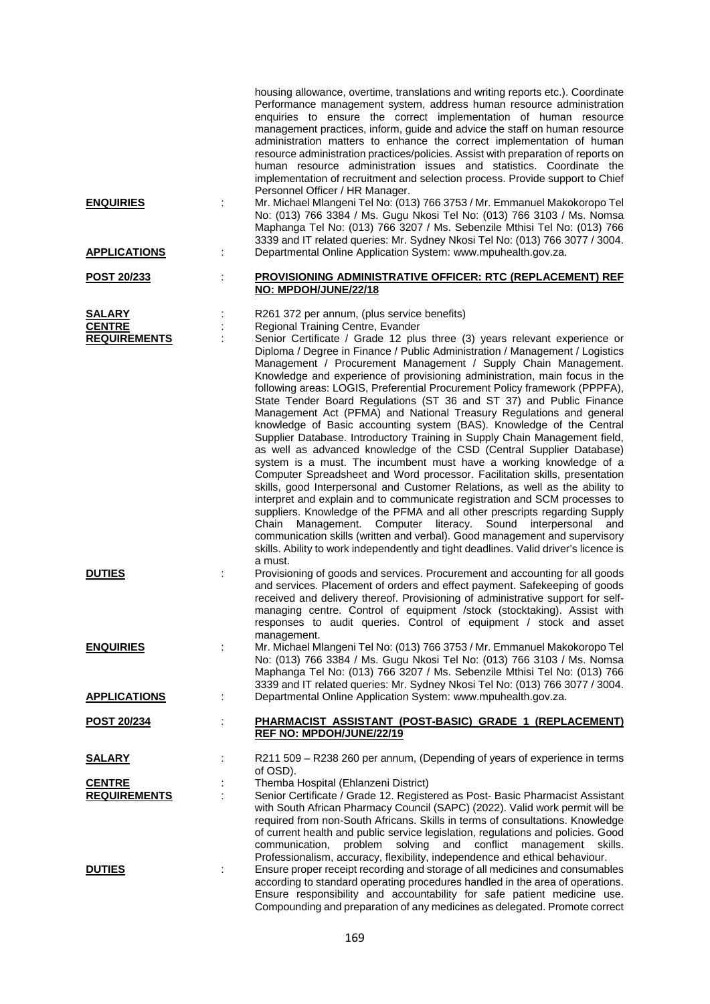|                                                       |    | housing allowance, overtime, translations and writing reports etc.). Coordinate<br>Performance management system, address human resource administration<br>enquiries to ensure the correct implementation of human resource<br>management practices, inform, guide and advice the staff on human resource<br>administration matters to enhance the correct implementation of human<br>resource administration practices/policies. Assist with preparation of reports on<br>human resource administration issues and statistics. Coordinate the<br>implementation of recruitment and selection process. Provide support to Chief<br>Personnel Officer / HR Manager.                                                                                                                                                                                                                                                                                                                                                                                                                                                                                                                                                                                                                                                                                                                                                                                                                                             |
|-------------------------------------------------------|----|----------------------------------------------------------------------------------------------------------------------------------------------------------------------------------------------------------------------------------------------------------------------------------------------------------------------------------------------------------------------------------------------------------------------------------------------------------------------------------------------------------------------------------------------------------------------------------------------------------------------------------------------------------------------------------------------------------------------------------------------------------------------------------------------------------------------------------------------------------------------------------------------------------------------------------------------------------------------------------------------------------------------------------------------------------------------------------------------------------------------------------------------------------------------------------------------------------------------------------------------------------------------------------------------------------------------------------------------------------------------------------------------------------------------------------------------------------------------------------------------------------------|
| <b>ENQUIRIES</b>                                      | ÷  | Mr. Michael Mlangeni Tel No: (013) 766 3753 / Mr. Emmanuel Makokoropo Tel<br>No: (013) 766 3384 / Ms. Gugu Nkosi Tel No: (013) 766 3103 / Ms. Nomsa<br>Maphanga Tel No: (013) 766 3207 / Ms. Sebenzile Mthisi Tel No: (013) 766<br>3339 and IT related queries: Mr. Sydney Nkosi Tel No: (013) 766 3077 / 3004.                                                                                                                                                                                                                                                                                                                                                                                                                                                                                                                                                                                                                                                                                                                                                                                                                                                                                                                                                                                                                                                                                                                                                                                                |
| <b>APPLICATIONS</b>                                   | ÷  | Departmental Online Application System: www.mpuhealth.gov.za.                                                                                                                                                                                                                                                                                                                                                                                                                                                                                                                                                                                                                                                                                                                                                                                                                                                                                                                                                                                                                                                                                                                                                                                                                                                                                                                                                                                                                                                  |
| POST 20/233                                           | t, | <b>PROVISIONING ADMINISTRATIVE OFFICER: RTC (REPLACEMENT) REF</b><br>NO: MPDOH/JUNE/22/18                                                                                                                                                                                                                                                                                                                                                                                                                                                                                                                                                                                                                                                                                                                                                                                                                                                                                                                                                                                                                                                                                                                                                                                                                                                                                                                                                                                                                      |
| <b>SALARY</b><br><b>CENTRE</b><br><b>REQUIREMENTS</b> |    | R261 372 per annum, (plus service benefits)<br>Regional Training Centre, Evander<br>Senior Certificate / Grade 12 plus three (3) years relevant experience or<br>Diploma / Degree in Finance / Public Administration / Management / Logistics<br>Management / Procurement Management / Supply Chain Management.<br>Knowledge and experience of provisioning administration, main focus in the<br>following areas: LOGIS, Preferential Procurement Policy framework (PPPFA),<br>State Tender Board Regulations (ST 36 and ST 37) and Public Finance<br>Management Act (PFMA) and National Treasury Regulations and general<br>knowledge of Basic accounting system (BAS). Knowledge of the Central<br>Supplier Database. Introductory Training in Supply Chain Management field,<br>as well as advanced knowledge of the CSD (Central Supplier Database)<br>system is a must. The incumbent must have a working knowledge of a<br>Computer Spreadsheet and Word processor. Facilitation skills, presentation<br>skills, good Interpersonal and Customer Relations, as well as the ability to<br>interpret and explain and to communicate registration and SCM processes to<br>suppliers. Knowledge of the PFMA and all other prescripts regarding Supply<br>Management. Computer literacy. Sound interpersonal<br>Chain<br>and<br>communication skills (written and verbal). Good management and supervisory<br>skills. Ability to work independently and tight deadlines. Valid driver's licence is<br>a must. |
| <b>DUTIES</b>                                         |    | Provisioning of goods and services. Procurement and accounting for all goods<br>and services. Placement of orders and effect payment. Safekeeping of goods<br>received and delivery thereof. Provisioning of administrative support for self-<br>managing centre. Control of equipment /stock (stocktaking). Assist with<br>responses to audit queries. Control of equipment / stock and asset<br>management.                                                                                                                                                                                                                                                                                                                                                                                                                                                                                                                                                                                                                                                                                                                                                                                                                                                                                                                                                                                                                                                                                                  |
| <b>ENQUIRIES</b>                                      | ÷  | Mr. Michael Mlangeni Tel No: (013) 766 3753 / Mr. Emmanuel Makokoropo Tel<br>No: (013) 766 3384 / Ms. Gugu Nkosi Tel No: (013) 766 3103 / Ms. Nomsa<br>Maphanga Tel No: (013) 766 3207 / Ms. Sebenzile Mthisi Tel No: (013) 766<br>3339 and IT related queries: Mr. Sydney Nkosi Tel No: (013) 766 3077 / 3004.                                                                                                                                                                                                                                                                                                                                                                                                                                                                                                                                                                                                                                                                                                                                                                                                                                                                                                                                                                                                                                                                                                                                                                                                |
| <b>APPLICATIONS</b>                                   | ÷  | Departmental Online Application System: www.mpuhealth.gov.za.                                                                                                                                                                                                                                                                                                                                                                                                                                                                                                                                                                                                                                                                                                                                                                                                                                                                                                                                                                                                                                                                                                                                                                                                                                                                                                                                                                                                                                                  |
| <u>POST 20/234</u>                                    | ÷  | PHARMACIST ASSISTANT (POST-BASIC) GRADE 1 (REPLACEMENT)<br>REF NO: MPDOH/JUNE/22/19                                                                                                                                                                                                                                                                                                                                                                                                                                                                                                                                                                                                                                                                                                                                                                                                                                                                                                                                                                                                                                                                                                                                                                                                                                                                                                                                                                                                                            |
| <b>SALARY</b>                                         |    | R211 509 - R238 260 per annum, (Depending of years of experience in terms<br>of OSD).                                                                                                                                                                                                                                                                                                                                                                                                                                                                                                                                                                                                                                                                                                                                                                                                                                                                                                                                                                                                                                                                                                                                                                                                                                                                                                                                                                                                                          |
| <b>CENTRE</b><br><b>REQUIREMENTS</b>                  |    | Themba Hospital (Ehlanzeni District)<br>Senior Certificate / Grade 12. Registered as Post- Basic Pharmacist Assistant<br>with South African Pharmacy Council (SAPC) (2022). Valid work permit will be<br>required from non-South Africans. Skills in terms of consultations. Knowledge<br>of current health and public service legislation, regulations and policies. Good<br>problem<br>solving<br>and conflict management<br>communication,<br>skills.<br>Professionalism, accuracy, flexibility, independence and ethical behaviour.                                                                                                                                                                                                                                                                                                                                                                                                                                                                                                                                                                                                                                                                                                                                                                                                                                                                                                                                                                        |
| <b>DUTIES</b>                                         |    | Ensure proper receipt recording and storage of all medicines and consumables<br>according to standard operating procedures handled in the area of operations.<br>Ensure responsibility and accountability for safe patient medicine use.<br>Compounding and preparation of any medicines as delegated. Promote correct                                                                                                                                                                                                                                                                                                                                                                                                                                                                                                                                                                                                                                                                                                                                                                                                                                                                                                                                                                                                                                                                                                                                                                                         |